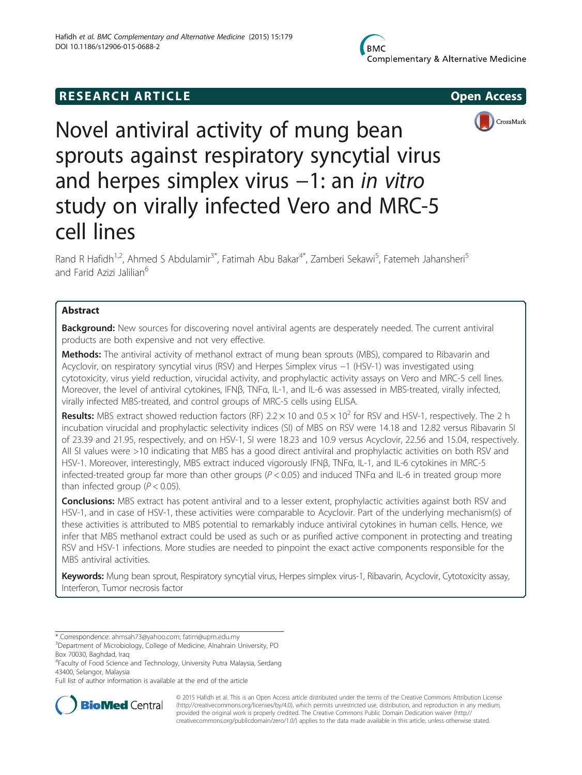# **RESEARCH ARTICLE Example 2014 CONSIDERING CONSIDERING CONSIDERING CONSIDERING CONSIDERING CONSIDERING CONSIDERING CONSIDERING CONSIDERING CONSIDERING CONSIDERING CONSIDERING CONSIDERING CONSIDERING CONSIDERING CONSIDE**





Novel antiviral activity of mung bean sprouts against respiratory syncytial virus and herpes simplex virus −1: an in vitro study on virally infected Vero and MRC-5 cell lines

Rand R Hafidh<sup>1,2</sup>, Ahmed S Abdulamir<sup>3\*</sup>, Fatimah Abu Bakar<sup>4\*</sup>, Zamberi Sekawi<sup>5</sup>, Fatemeh Jahansheri<sup>5</sup> and Farid Azizi Jalilian<sup>6</sup>

## Abstract

Background: New sources for discovering novel antiviral agents are desperately needed. The current antiviral products are both expensive and not very effective.

Methods: The antiviral activity of methanol extract of mung bean sprouts (MBS), compared to Ribavarin and Acyclovir, on respiratory syncytial virus (RSV) and Herpes Simplex virus −1 (HSV-1) was investigated using cytotoxicity, virus yield reduction, virucidal activity, and prophylactic activity assays on Vero and MRC-5 cell lines. Moreover, the level of antiviral cytokines, IFNβ, TNFα, IL-1, and IL-6 was assessed in MBS-treated, virally infected, virally infected MBS-treated, and control groups of MRC-5 cells using ELISA.

**Results:** MBS extract showed reduction factors (RF) 2.2  $\times$  10 and 0.5  $\times$  10<sup>2</sup> for RSV and HSV-1, respectively. The 2 h incubation virucidal and prophylactic selectivity indices (SI) of MBS on RSV were 14.18 and 12.82 versus Ribavarin SI of 23.39 and 21.95, respectively, and on HSV-1, SI were 18.23 and 10.9 versus Acyclovir, 22.56 and 15.04, respectively. All SI values were >10 indicating that MBS has a good direct antiviral and prophylactic activities on both RSV and HSV-1. Moreover, interestingly, MBS extract induced vigorously IFNβ, TNFα, IL-1, and IL-6 cytokines in MRC-5 infected-treated group far more than other groups (P < 0.05) and induced TNFα and IL-6 in treated group more than infected group ( $P < 0.05$ ).

**Conclusions:** MBS extract has potent antiviral and to a lesser extent, prophylactic activities against both RSV and HSV-1, and in case of HSV-1, these activities were comparable to Acyclovir. Part of the underlying mechanism(s) of these activities is attributed to MBS potential to remarkably induce antiviral cytokines in human cells. Hence, we infer that MBS methanol extract could be used as such or as purified active component in protecting and treating RSV and HSV-1 infections. More studies are needed to pinpoint the exact active components responsible for the MBS antiviral activities.

Keywords: Mung bean sprout, Respiratory syncytial virus, Herpes simplex virus-1, Ribavarin, Acyclovir, Cytotoxicity assay, Interferon, Tumor necrosis factor

\* Correspondence: [ahmsah73@yahoo.com;](mailto:ahmsah73@yahoo.com) [fatim@upm.edu.my](mailto:fatim@upm.edu.my) <sup>3</sup>

<sup>3</sup>Department of Microbiology, College of Medicine, Alnahrain University, PO Box 70030, Baghdad, Iraq

4 Faculty of Food Science and Technology, University Putra Malaysia, Serdang 43400, Selangor, Malaysia

Full list of author information is available at the end of the article



© 2015 Hafidh et al. This is an Open Access article distributed under the terms of the Creative Commons Attribution License [\(http://creativecommons.org/licenses/by/4.0\)](http://creativecommons.org/licenses/by/4.0), which permits unrestricted use, distribution, and reproduction in any medium, provided the original work is properly credited. The Creative Commons Public Domain Dedication waiver [\(http://](http://creativecommons.org/publicdomain/zero/1.0/) [creativecommons.org/publicdomain/zero/1.0/\)](http://creativecommons.org/publicdomain/zero/1.0/) applies to the data made available in this article, unless otherwise stated.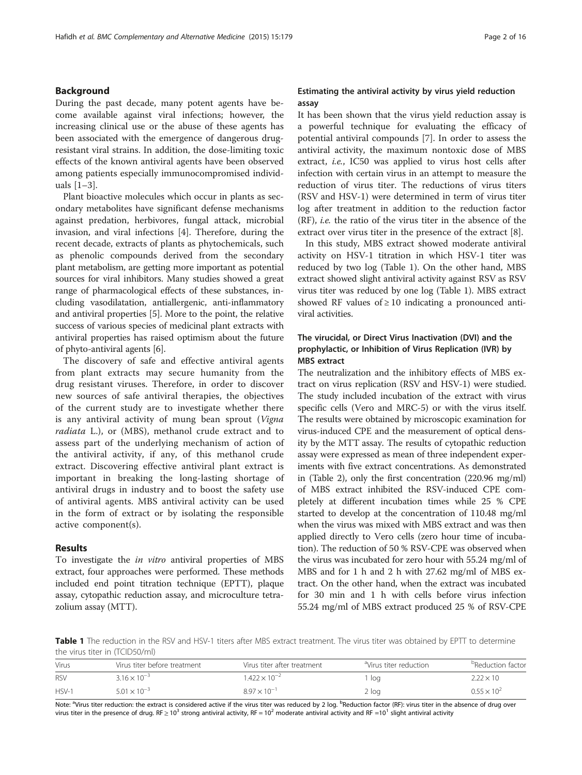## Background

During the past decade, many potent agents have become available against viral infections; however, the increasing clinical use or the abuse of these agents has been associated with the emergence of dangerous drugresistant viral strains. In addition, the dose-limiting toxic effects of the known antiviral agents have been observed among patients especially immunocompromised individuals [[1](#page-13-0)–[3\]](#page-13-0).

Plant bioactive molecules which occur in plants as secondary metabolites have significant defense mechanisms against predation, herbivores, fungal attack, microbial invasion, and viral infections [\[4](#page-13-0)]. Therefore, during the recent decade, extracts of plants as phytochemicals, such as phenolic compounds derived from the secondary plant metabolism, are getting more important as potential sources for viral inhibitors. Many studies showed a great range of pharmacological effects of these substances, including vasodilatation, antiallergenic, anti-inflammatory and antiviral properties [[5\]](#page-13-0). More to the point, the relative success of various species of medicinal plant extracts with antiviral properties has raised optimism about the future of phyto-antiviral agents [[6](#page-13-0)].

The discovery of safe and effective antiviral agents from plant extracts may secure humanity from the drug resistant viruses. Therefore, in order to discover new sources of safe antiviral therapies, the objectives of the current study are to investigate whether there is any antiviral activity of mung bean sprout (Vigna radiata L.), or (MBS), methanol crude extract and to assess part of the underlying mechanism of action of the antiviral activity, if any, of this methanol crude extract. Discovering effective antiviral plant extract is important in breaking the long-lasting shortage of antiviral drugs in industry and to boost the safety use of antiviral agents. MBS antiviral activity can be used in the form of extract or by isolating the responsible active component(s).

## Results

To investigate the in vitro antiviral properties of MBS extract, four approaches were performed. These methods included end point titration technique (EPTT), plaque assay, cytopathic reduction assay, and microculture tetrazolium assay (MTT).

## Estimating the antiviral activity by virus yield reduction assay

It has been shown that the virus yield reduction assay is a powerful technique for evaluating the efficacy of potential antiviral compounds [\[7](#page-13-0)]. In order to assess the antiviral activity, the maximum nontoxic dose of MBS extract, *i.e.*, IC50 was applied to virus host cells after infection with certain virus in an attempt to measure the reduction of virus titer. The reductions of virus titers (RSV and HSV-1) were determined in term of virus titer log after treatment in addition to the reduction factor (RF), i.e. the ratio of the virus titer in the absence of the extract over virus titer in the presence of the extract [[8](#page-13-0)].

In this study, MBS extract showed moderate antiviral activity on HSV-1 titration in which HSV-1 titer was reduced by two log (Table 1). On the other hand, MBS extract showed slight antiviral activity against RSV as RSV virus titer was reduced by one log (Table 1). MBS extract showed RF values of  $\geq 10$  indicating a pronounced antiviral activities.

## The virucidal, or Direct Virus Inactivation (DVI) and the prophylactic, or Inhibition of Virus Replication (IVR) by MBS extract

The neutralization and the inhibitory effects of MBS extract on virus replication (RSV and HSV-1) were studied. The study included incubation of the extract with virus specific cells (Vero and MRC-5) or with the virus itself. The results were obtained by microscopic examination for virus-induced CPE and the measurement of optical density by the MTT assay. The results of cytopathic reduction assay were expressed as mean of three independent experiments with five extract concentrations. As demonstrated in (Table [2](#page-2-0)), only the first concentration (220.96 mg/ml) of MBS extract inhibited the RSV-induced CPE completely at different incubation times while 25 % CPE started to develop at the concentration of 110.48 mg/ml when the virus was mixed with MBS extract and was then applied directly to Vero cells (zero hour time of incubation). The reduction of 50 % RSV-CPE was observed when the virus was incubated for zero hour with 55.24 mg/ml of MBS and for 1 h and 2 h with 27.62 mg/ml of MBS extract. On the other hand, when the extract was incubated for 30 min and 1 h with cells before virus infection 55.24 mg/ml of MBS extract produced 25 % of RSV-CPE

Table 1 The reduction in the RSV and HSV-1 titers after MBS extract treatment. The virus titer was obtained by EPTT to determine the virus titer in (TCID50/ml)

| Virus      | Virus titer before treatment | Virus titer after treatment | dVirus titer reduction® | <sup>b</sup> Reduction factor |
|------------|------------------------------|-----------------------------|-------------------------|-------------------------------|
| <b>RSV</b> | $3.16 \times 10^{-3}$        | $1.422 \times 10^{-2}$      | loa                     | $2.22 \times 10^{-7}$         |
| $HSV-1$    | $5.01 \times 10^{-3}$        | $8.97 \times 10^{-1}$       | $2$ log                 | $0.55 \times 10^{2}$          |

Note: <sup>a</sup>Virus titer reduction: the extract is considered active if the virus titer was reduced by 2 log. <sup>b</sup>Reduction factor (RF): virus titer in the absence of drug over virus titer in the presence of drug. RF  $\geq$  10<sup>3</sup> strong antiviral activity, RF = 10<sup>2</sup> moderate antiviral activity and RF =10<sup>1</sup> slight antiviral activity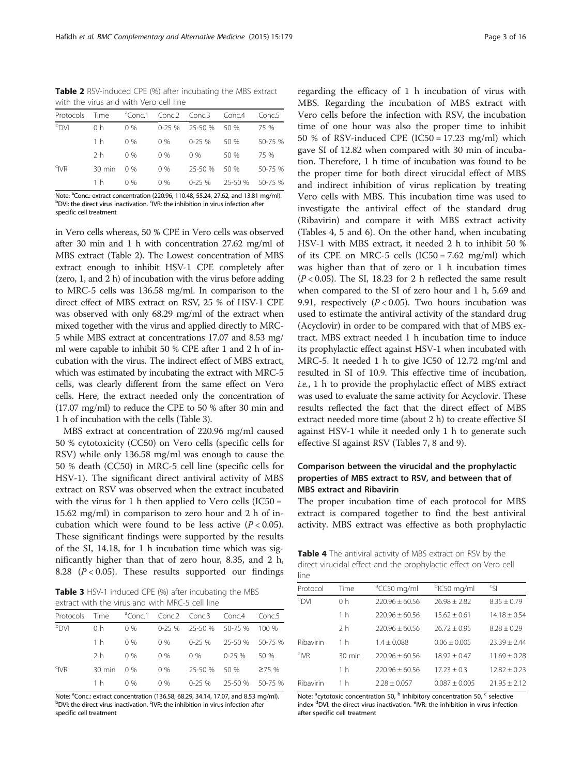<span id="page-2-0"></span>Table 2 RSV-induced CPE (%) after incubating the MBS extract with the virus and with Vero cell line

|                       |                |       |       | Protocols Time <sup>a</sup> Conc.1 Conc.2 Conc.3 Conc.4 |                        | Conc.5  |
|-----------------------|----------------|-------|-------|---------------------------------------------------------|------------------------|---------|
| <b>NO<sub>q</sub></b> | 0 <sub>h</sub> | $0\%$ |       | 0-25 % 25-50 % 50 %                                     |                        | 75 %    |
|                       | 1 h            | $0\%$ | $0\%$ | $0-25\%$ 50 %                                           |                        | 50-75 % |
|                       | 2 <sub>h</sub> | $0\%$ | $0\%$ | $0\%$                                                   | 50 %                   | 75 %    |
| $c$ <sub>IVR</sub>    | 30 min 0 %     |       | $0\%$ | 25-50 % 50 %                                            |                        | 50-75 % |
|                       | 1 h            | 0 %   | $0\%$ |                                                         | 0-25 % 25-50 % 50-75 % |         |
|                       |                |       |       |                                                         |                        |         |

Note: <sup>a</sup>Conc.: extract concentration (220.96, 110.48, 55.24, 27.62, and 13.81 mg/ml).<br><sup>b</sup>DVL: the direct virus inactivation <sup>c</sup>WP: the inhibition in virus infection after DVI: the direct virus inactivation. <sup>c</sup>IVR: the inhibition in virus infection after specific cell treatment

in Vero cells whereas, 50 % CPE in Vero cells was observed after 30 min and 1 h with concentration 27.62 mg/ml of MBS extract (Table 2). The Lowest concentration of MBS extract enough to inhibit HSV-1 CPE completely after (zero, 1, and 2 h) of incubation with the virus before adding to MRC-5 cells was 136.58 mg/ml. In comparison to the direct effect of MBS extract on RSV, 25 % of HSV-1 CPE was observed with only 68.29 mg/ml of the extract when mixed together with the virus and applied directly to MRC-5 while MBS extract at concentrations 17.07 and 8.53 mg/ ml were capable to inhibit 50 % CPE after 1 and 2 h of incubation with the virus. The indirect effect of MBS extract, which was estimated by incubating the extract with MRC-5 cells, was clearly different from the same effect on Vero cells. Here, the extract needed only the concentration of (17.07 mg/ml) to reduce the CPE to 50 % after 30 min and 1 h of incubation with the cells (Table 3).

MBS extract at concentration of 220.96 mg/ml caused 50 % cytotoxicity (CC50) on Vero cells (specific cells for RSV) while only 136.58 mg/ml was enough to cause the 50 % death (CC50) in MRC-5 cell line (specific cells for HSV-1). The significant direct antiviral activity of MBS extract on RSV was observed when the extract incubated with the virus for 1 h then applied to Vero cells  $(IC50 =$ 15.62 mg/ml) in comparison to zero hour and 2 h of incubation which were found to be less active  $(P < 0.05)$ . These significant findings were supported by the results of the SI, 14.18, for 1 h incubation time which was significantly higher than that of zero hour, 8.35, and 2 h, 8.28  $(P < 0.05)$ . These results supported our findings

Table 3 HSV-1 induced CPE (%) after incubating the MBS extract with the virus and with MRC-5 cell line

| Protocols          | Time           |       |       | <sup>a</sup> Conc.1 Conc.2 Conc.3 Conc.4 |             | Conc.5          |
|--------------------|----------------|-------|-------|------------------------------------------|-------------|-----------------|
| <b>NG</b>          | 0 <sub>h</sub> | $0\%$ |       | $0-25\%$ 25-50 % 50-75 %                 |             | 100 %           |
|                    | 1 h            | $0\%$ | $0\%$ | 0-25 %                                   |             | 25-50 % 50-75 % |
|                    | 2 h            | $0\%$ | 0%    | $0\%$                                    | $0 - 25 \%$ | -50 %           |
| $c$ <sub>IVR</sub> | 30 min 0 %     |       | $0\%$ | 25-50 % 50 %                             |             | $\geq 75$ %     |
|                    | 1 h            | $0\%$ | $0\%$ | 0-25 %                                   |             | 25-50 % 50-75 % |
|                    |                |       |       |                                          |             |                 |

Note: <sup>a</sup>Conc.: extract concentration (136.58, 68.29, 34.14, 17.07, and 8.53 mg/ml).<br><sup>b</sup>OVI: the direct virus inactivation <sup>s</sup>WP: the inhibition in virus infection after DVI: the direct virus inactivation. <sup>c</sup>IVR: the inhibition in virus infection after specific cell treatment

regarding the efficacy of 1 h incubation of virus with MBS. Regarding the incubation of MBS extract with Vero cells before the infection with RSV, the incubation time of one hour was also the proper time to inhibit 50 % of RSV-induced CPE (IC50 =  $17.23$  mg/ml) which gave SI of 12.82 when compared with 30 min of incubation. Therefore, 1 h time of incubation was found to be the proper time for both direct virucidal effect of MBS and indirect inhibition of virus replication by treating Vero cells with MBS. This incubation time was used to investigate the antiviral effect of the standard drug (Ribavirin) and compare it with MBS extract activity (Tables 4, [5](#page-3-0) and [6\)](#page-3-0). On the other hand, when incubating HSV-1 with MBS extract, it needed 2 h to inhibit 50 % of its CPE on MRC-5 cells  $(IC50 = 7.62$  mg/ml) which was higher than that of zero or 1 h incubation times  $(P < 0.05)$ . The SI, 18.23 for 2 h reflected the same result when compared to the SI of zero hour and 1 h, 5.69 and 9.91, respectively  $(P < 0.05)$ . Two hours incubation was used to estimate the antiviral activity of the standard drug (Acyclovir) in order to be compared with that of MBS extract. MBS extract needed 1 h incubation time to induce its prophylactic effect against HSV-1 when incubated with MRC-5. It needed 1 h to give IC50 of 12.72 mg/ml and resulted in SI of 10.9. This effective time of incubation, i.e., 1 h to provide the prophylactic effect of MBS extract was used to evaluate the same activity for Acyclovir. These results reflected the fact that the direct effect of MBS extract needed more time (about 2 h) to create effective SI against HSV-1 while it needed only 1 h to generate such effective SI against RSV (Tables [7, 8](#page-4-0) and [9](#page-5-0)).

## Comparison between the virucidal and the prophylactic properties of MBS extract to RSV, and between that of MBS extract and Ribavirin

The proper incubation time of each protocol for MBS extract is compared together to find the best antiviral activity. MBS extract was effective as both prophylactic

Table 4 The antiviral activity of MBS extract on RSV by the direct virucidal effect and the prophylactic effect on Vero cell line

| ---                |                  |                         |                         |                  |
|--------------------|------------------|-------------------------|-------------------------|------------------|
| Protocol           | Time             | <sup>a</sup> CC50 mg/ml | <sup>b</sup> IC50 mg/ml | $c_{\zeta}$      |
| <sup>d</sup> DVI   | 0 <sub>h</sub>   | $220.96 + 60.56$        | $76.98 + 7.87$          | $8.35 \pm 0.79$  |
|                    | 1 h              | $220.96 \pm 60.56$      | $15.62 + 0.61$          | $14.18 \pm 0.54$ |
|                    | 2 <sub>h</sub>   | $220.96 + 60.56$        | $26.72 + 0.95$          | $8.28 + 0.29$    |
| Ribavirin          | 1 h              | $1.4 + 0.088$           | $0.06 + 0.005$          | $23.39 \pm 2.44$ |
| $e$ <sub>IVR</sub> | $30 \text{ min}$ | $220.96 + 60.56$        | $18.92 + 0.47$          | $11.69 + 0.28$   |
|                    | 1 h              | $220.96 + 60.56$        | $17.23 + 0.3$           | $12.82 + 0.23$   |
| Ribavirin          | 1 h              | $2.28 + 0.057$          | $0.087 + 0.005$         | $21.95 + 2.12$   |

Note: <sup>a</sup>cytotoxic concentration 50, <sup>b</sup> Inhibitory concentration 50, <sup>c</sup> selective index <sup>d</sup>DVI: the direct virus inactivation. <sup>e</sup>IVR: the inhibition in virus infection after specific cell treatment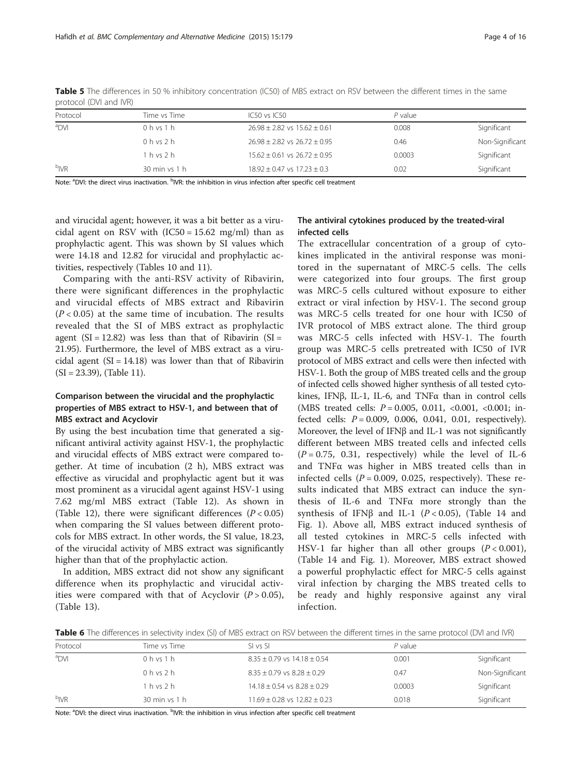| protocor (D vi aria ivit) |               |                                      |           |                 |  |
|---------------------------|---------------|--------------------------------------|-----------|-----------------|--|
| Protocol                  | Time vs Time  | $IC50$ vs $IC50$                     | $P$ value |                 |  |
| <sup>a</sup> DVI          | 0 h vs 1 h    | $26.98 \pm 2.82$ vs $15.62 \pm 0.61$ | 0.008     | Significant     |  |
|                           | $0h$ vs $2h$  | $26.98 \pm 2.82$ vs $26.72 \pm 0.95$ | 0.46      | Non-Significant |  |
|                           | $1h$ vs $2h$  | $15.62 \pm 0.61$ vs $26.72 \pm 0.95$ | 0.0003    | Significant     |  |
| <sup>b</sup> IVR          | 30 min vs 1 h | $18.92 \pm 0.47$ vs $17.23 \pm 0.3$  | 0.02      | Significant     |  |

<span id="page-3-0"></span>Table 5 The differences in 50 % inhibitory concentration (IC50) of MBS extract on RSV between the different times in the same protocol (DVI and IVR)

Note: <sup>a</sup>DVI: the direct virus inactivation. <sup>b</sup>IVR: the inhibition in virus infection after specific cell treatment

and virucidal agent; however, it was a bit better as a virucidal agent on RSV with  $(IC50 = 15.62 \text{ mg/ml})$  than as prophylactic agent. This was shown by SI values which were 14.18 and 12.82 for virucidal and prophylactic activities, respectively (Tables [10](#page-5-0) and [11\)](#page-6-0).

Comparing with the anti-RSV activity of Ribavirin, there were significant differences in the prophylactic and virucidal effects of MBS extract and Ribavirin  $(P < 0.05)$  at the same time of incubation. The results revealed that the SI of MBS extract as prophylactic agent  $(SI = 12.82)$  was less than that of Ribavirin  $(SI = 12.82)$ 21.95). Furthermore, the level of MBS extract as a virucidal agent  $(SI = 14.18)$  was lower than that of Ribavirin (SI = 23.39), (Table [11\)](#page-6-0).

## Comparison between the virucidal and the prophylactic properties of MBS extract to HSV-1, and between that of MBS extract and Acyclovir

By using the best incubation time that generated a significant antiviral activity against HSV-1, the prophylactic and virucidal effects of MBS extract were compared together. At time of incubation (2 h), MBS extract was effective as virucidal and prophylactic agent but it was most prominent as a virucidal agent against HSV-1 using 7.62 mg/ml MBS extract (Table [12\)](#page-6-0). As shown in (Table [12\)](#page-6-0), there were significant differences  $(P < 0.05)$ when comparing the SI values between different protocols for MBS extract. In other words, the SI value, 18.23, of the virucidal activity of MBS extract was significantly higher than that of the prophylactic action.

In addition, MBS extract did not show any significant difference when its prophylactic and virucidal activities were compared with that of Acyclovir  $(P > 0.05)$ , (Table [13](#page-7-0)).

## The antiviral cytokines produced by the treated-viral infected cells

The extracellular concentration of a group of cytokines implicated in the antiviral response was monitored in the supernatant of MRC-5 cells. The cells were categorized into four groups. The first group was MRC-5 cells cultured without exposure to either extract or viral infection by HSV-1. The second group was MRC-5 cells treated for one hour with IC50 of IVR protocol of MBS extract alone. The third group was MRC-5 cells infected with HSV-1. The fourth group was MRC-5 cells pretreated with IC50 of IVR protocol of MBS extract and cells were then infected with HSV-1. Both the group of MBS treated cells and the group of infected cells showed higher synthesis of all tested cytokines, IFNβ, IL-1, IL-6, and TNFα than in control cells (MBS treated cells:  $P = 0.005, 0.011, <0.001, <0.001$ ; infected cells:  $P = 0.009, 0.006, 0.041, 0.01$ , respectively). Moreover, the level of IFNβ and IL-1 was not significantly different between MBS treated cells and infected cells  $(P = 0.75, 0.31, respectively)$  while the level of IL-6 and TNFα was higher in MBS treated cells than in infected cells  $(P = 0.009, 0.025,$  respectively). These results indicated that MBS extract can induce the synthesis of IL-6 and TNFα more strongly than the synthesis of IFNβ and IL-1 ( $P < 0.05$ ), (Table [14](#page-7-0) and Fig. [1\)](#page-8-0). Above all, MBS extract induced synthesis of all tested cytokines in MRC-5 cells infected with HSV-1 far higher than all other groups  $(P < 0.001)$ , (Table [14](#page-7-0) and Fig. [1](#page-8-0)). Moreover, MBS extract showed a powerful prophylactic effect for MRC-5 cells against viral infection by charging the MBS treated cells to be ready and highly responsive against any viral infection.

Table 6 The differences in selectivity index (SI) of MBS extract on RSV between the different times in the same protocol (DVI and IVR)

| Protocol         | Time vs Time  | SL vs SL                             | $P$ value |                 |
|------------------|---------------|--------------------------------------|-----------|-----------------|
| <sup>a</sup> DVI | 0 h vs 1 h    | $8.35 \pm 0.79$ vs $14.18 \pm 0.54$  | 0.001     | Significant     |
|                  | 0 h vs 2 h    | $8.35 \pm 0.79$ vs $8.28 \pm 0.29$   | 0.47      | Non-Significant |
|                  | 1 h vs 2 h    | $14.18 \pm 0.54$ vs $8.28 \pm 0.29$  | 0.0003    | Significant     |
| b <sub>IVR</sub> | 30 min vs 1 h | $11.69 \pm 0.28$ vs $12.82 \pm 0.23$ | 0.018     | Significant     |

Note: <sup>a</sup>DVI: the direct virus inactivation. <sup>b</sup>IVR: the inhibition in virus infection after specific cell treatment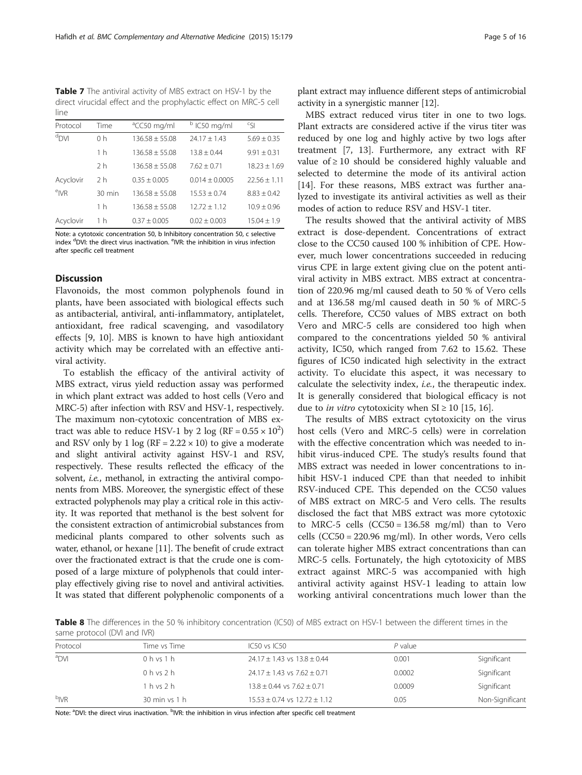<span id="page-4-0"></span>Table 7 The antiviral activity of MBS extract on HSV-1 by the direct virucidal effect and the prophylactic effect on MRC-5 cell line

| Protocol           | Time             | <sup>a</sup> CC50 mg/ml | <sup>b</sup> IC50 mg/ml | $c_{\zeta}$      |
|--------------------|------------------|-------------------------|-------------------------|------------------|
| $d$ DVI            | 0 <sub>h</sub>   | $136.58 + 55.08$        | $74.17 + 1.43$          | $5.69 \pm 0.35$  |
|                    | 1 <sub>h</sub>   | $136.58 \pm 55.08$      | $13.8 \pm 0.44$         | $9.91 \pm 0.31$  |
|                    | 2 <sub>h</sub>   | $136.58 + 55.08$        | $7.62 + 0.71$           | $18.23 \pm 1.69$ |
| Acyclovir          | 2 <sub>h</sub>   | $0.35 + 0.005$          | $0.014 + 0.0005$        | $22.56 + 1.11$   |
| $e$ <sub>IVR</sub> | $30 \text{ min}$ | $136.58 + 55.08$        | $15.53 + 0.74$          | $8.83 + 0.42$    |
|                    | 1 <sub>h</sub>   | $136.58 \pm 55.08$      | $12.72 + 1.12$          | $10.9 \pm 0.96$  |
| Acyclovir          | 1 h              | $0.37 \pm 0.005$        | $0.02 \pm 0.003$        | $15.04 + 1.9$    |
|                    |                  |                         |                         |                  |

Note: a cytotoxic concentration 50, b Inhibitory concentration 50, c selective index <sup>d</sup>DVI: the direct virus inactivation. <sup>e</sup>IVR: the inhibition in virus infection after specific cell treatment

## **Discussion**

Flavonoids, the most common polyphenols found in plants, have been associated with biological effects such as antibacterial, antiviral, anti-inflammatory, antiplatelet, antioxidant, free radical scavenging, and vasodilatory effects [\[9, 10](#page-13-0)]. MBS is known to have high antioxidant activity which may be correlated with an effective antiviral activity.

To establish the efficacy of the antiviral activity of MBS extract, virus yield reduction assay was performed in which plant extract was added to host cells (Vero and MRC-5) after infection with RSV and HSV-1, respectively. The maximum non-cytotoxic concentration of MBS extract was able to reduce HSV-1 by 2 log (RF =  $0.55 \times 10^2$ ) and RSV only by 1 log ( $RF = 2.22 \times 10$ ) to give a moderate and slight antiviral activity against HSV-1 and RSV, respectively. These results reflected the efficacy of the solvent, *i.e.*, methanol, in extracting the antiviral components from MBS. Moreover, the synergistic effect of these extracted polyphenols may play a critical role in this activity. It was reported that methanol is the best solvent for the consistent extraction of antimicrobial substances from medicinal plants compared to other solvents such as water, ethanol, or hexane [\[11\]](#page-13-0). The benefit of crude extract over the fractionated extract is that the crude one is composed of a large mixture of polyphenols that could interplay effectively giving rise to novel and antiviral activities. It was stated that different polyphenolic components of a

plant extract may influence different steps of antimicrobial activity in a synergistic manner [\[12](#page-13-0)].

MBS extract reduced virus titer in one to two logs. Plant extracts are considered active if the virus titer was reduced by one log and highly active by two logs after treatment [\[7, 13](#page-13-0)]. Furthermore, any extract with RF value of  $\geq 10$  should be considered highly valuable and selected to determine the mode of its antiviral action [[14\]](#page-13-0). For these reasons, MBS extract was further analyzed to investigate its antiviral activities as well as their modes of action to reduce RSV and HSV-1 titer.

The results showed that the antiviral activity of MBS extract is dose-dependent. Concentrations of extract close to the CC50 caused 100 % inhibition of CPE. However, much lower concentrations succeeded in reducing virus CPE in large extent giving clue on the potent antiviral activity in MBS extract. MBS extract at concentration of 220.96 mg/ml caused death to 50 % of Vero cells and at 136.58 mg/ml caused death in 50 % of MRC-5 cells. Therefore, CC50 values of MBS extract on both Vero and MRC-5 cells are considered too high when compared to the concentrations yielded 50 % antiviral activity, IC50, which ranged from 7.62 to 15.62. These figures of IC50 indicated high selectivity in the extract activity. To elucidate this aspect, it was necessary to calculate the selectivity index, i.e., the therapeutic index. It is generally considered that biological efficacy is not due to *in vitro* cytotoxicity when  $SI \ge 10$  [\[15,](#page-13-0) [16\]](#page-14-0).

The results of MBS extract cytotoxicity on the virus host cells (Vero and MRC-5 cells) were in correlation with the effective concentration which was needed to inhibit virus-induced CPE. The study's results found that MBS extract was needed in lower concentrations to inhibit HSV-1 induced CPE than that needed to inhibit RSV-induced CPE. This depended on the CC50 values of MBS extract on MRC-5 and Vero cells. The results disclosed the fact that MBS extract was more cytotoxic to MRC-5 cells  $(CC50 = 136.58$  mg/ml) than to Vero cells (CC50 = 220.96 mg/ml). In other words, Vero cells can tolerate higher MBS extract concentrations than can MRC-5 cells. Fortunately, the high cytotoxicity of MBS extract against MRC-5 was accompanied with high antiviral activity against HSV-1 leading to attain low working antiviral concentrations much lower than the

Table 8 The differences in the 50 % inhibitory concentration (IC50) of MBS extract on HSV-1 between the different times in the same protocol (DVI and IVR)

| Protocol         | Time vs Time            | IC50 vs IC50                         | $P$ value |                 |
|------------------|-------------------------|--------------------------------------|-----------|-----------------|
| <sup>a</sup> DVI | 0 h vs 1 h              | $24.17 \pm 1.43$ vs $13.8 \pm 0.44$  | 0.001     | Significant     |
|                  | 0 h vs 2 h              | $24.17 \pm 1.43$ vs $7.62 \pm 0.71$  | 0.0002    | Significant     |
|                  | $1h$ vs $2h$            | $13.8 \pm 0.44$ vs $7.62 \pm 0.71$   | 0.0009    | Significant     |
| b <sub>IVR</sub> | $30 \text{ min}$ vs 1 h | $15.53 \pm 0.74$ vs $12.72 \pm 1.12$ | 0.05      | Non-Significant |

Note: <sup>a</sup>DVI: the direct virus inactivation. <sup>b</sup>IVR: the inhibition in virus infection after specific cell treatment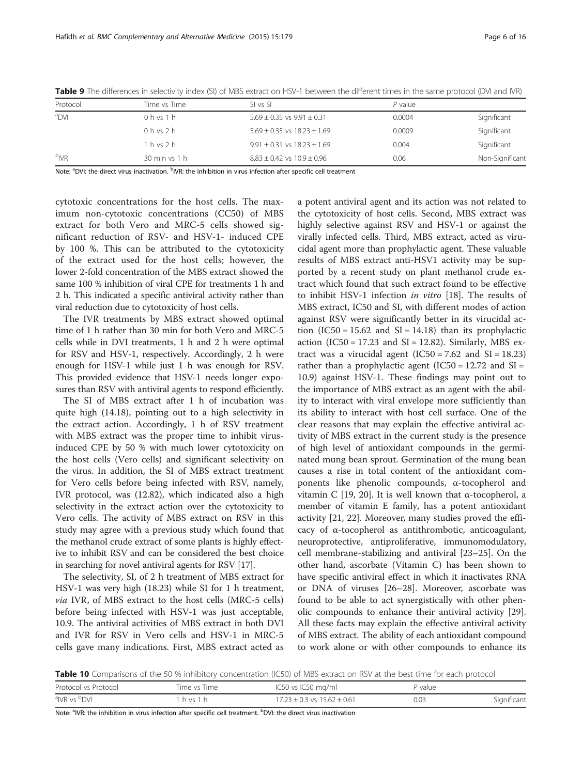| Protocol         | Time vs Time I          | SL vs SL                            | $P$ value |                 |
|------------------|-------------------------|-------------------------------------|-----------|-----------------|
| <sup>a</sup> DVI | $0 h$ vs $1 h$          | $5.69 \pm 0.35$ vs $9.91 \pm 0.31$  | 0.0004    | Significant     |
|                  | $0$ h vs $2$ h          | $5.69 \pm 0.35$ vs $18.23 \pm 1.69$ | 0.0009    | Significant     |
|                  | 1 h vs 2 h              | $9.91 \pm 0.31$ vs $18.23 \pm 1.69$ | 0.004     | Significant     |
| b <sub>IVR</sub> | $30 \text{ min}$ vs 1 h | $8.83 \pm 0.42$ vs $10.9 \pm 0.96$  | 0.06      | Non-Significant |

<span id="page-5-0"></span>Table 9 The differences in selectivity index (SI) of MBS extract on HSV-1 between the different times in the same protocol (DVI and IVR)

Note: <sup>a</sup>DVI: the direct virus inactivation. <sup>b</sup>IVR: the inhibition in virus infection after specific cell treatment

cytotoxic concentrations for the host cells. The maximum non-cytotoxic concentrations (CC50) of MBS extract for both Vero and MRC-5 cells showed significant reduction of RSV- and HSV-1- induced CPE by 100 %. This can be attributed to the cytotoxicity of the extract used for the host cells; however, the lower 2-fold concentration of the MBS extract showed the same 100 % inhibition of viral CPE for treatments 1 h and 2 h. This indicated a specific antiviral activity rather than viral reduction due to cytotoxicity of host cells.

The IVR treatments by MBS extract showed optimal time of 1 h rather than 30 min for both Vero and MRC-5 cells while in DVI treatments, 1 h and 2 h were optimal for RSV and HSV-1, respectively. Accordingly, 2 h were enough for HSV-1 while just 1 h was enough for RSV. This provided evidence that HSV-1 needs longer exposures than RSV with antiviral agents to respond efficiently.

The SI of MBS extract after 1 h of incubation was quite high (14.18), pointing out to a high selectivity in the extract action. Accordingly, 1 h of RSV treatment with MBS extract was the proper time to inhibit virusinduced CPE by 50 % with much lower cytotoxicity on the host cells (Vero cells) and significant selectivity on the virus. In addition, the SI of MBS extract treatment for Vero cells before being infected with RSV, namely, IVR protocol, was (12.82), which indicated also a high selectivity in the extract action over the cytotoxicity to Vero cells. The activity of MBS extract on RSV in this study may agree with a previous study which found that the methanol crude extract of some plants is highly effective to inhibit RSV and can be considered the best choice in searching for novel antiviral agents for RSV [[17](#page-14-0)].

The selectivity, SI, of 2 h treatment of MBS extract for HSV-1 was very high (18.23) while SI for 1 h treatment, via IVR, of MBS extract to the host cells (MRC-5 cells) before being infected with HSV-1 was just acceptable, 10.9. The antiviral activities of MBS extract in both DVI and IVR for RSV in Vero cells and HSV-1 in MRC-5 cells gave many indications. First, MBS extract acted as

a potent antiviral agent and its action was not related to the cytotoxicity of host cells. Second, MBS extract was highly selective against RSV and HSV-1 or against the virally infected cells. Third, MBS extract, acted as virucidal agent more than prophylactic agent. These valuable results of MBS extract anti-HSV1 activity may be supported by a recent study on plant methanol crude extract which found that such extract found to be effective to inhibit HSV-1 infection in vitro [\[18](#page-14-0)]. The results of MBS extract, IC50 and SI, with different modes of action against RSV were significantly better in its virucidal action  $(IC50 = 15.62$  and  $SI = 14.18)$  than its prophylactic action (IC50 = 17.23 and SI = 12.82). Similarly, MBS extract was a virucidal agent  $(IC50 = 7.62$  and  $SI = 18.23)$ rather than a prophylactic agent (IC50 = 12.72 and SI = 10.9) against HSV-1. These findings may point out to the importance of MBS extract as an agent with the ability to interact with viral envelope more sufficiently than its ability to interact with host cell surface. One of the clear reasons that may explain the effective antiviral activity of MBS extract in the current study is the presence of high level of antioxidant compounds in the germinated mung bean sprout. Germination of the mung bean causes a rise in total content of the antioxidant components like phenolic compounds, α-tocopherol and vitamin C [\[19, 20](#page-14-0)]. It is well known that α-tocopherol, a member of vitamin E family, has a potent antioxidant activity [\[21](#page-14-0), [22](#page-14-0)]. Moreover, many studies proved the efficacy of α-tocopherol as antithrombotic, anticoagulant, neuroprotective, antiproliferative, immunomodulatory, cell membrane-stabilizing and antiviral [\[23](#page-14-0)–[25\]](#page-14-0). On the other hand, ascorbate (Vitamin C) has been shown to have specific antiviral effect in which it inactivates RNA or DNA of viruses [\[26](#page-14-0)–[28\]](#page-14-0). Moreover, ascorbate was found to be able to act synergistically with other phenolic compounds to enhance their antiviral activity [\[29](#page-14-0)]. All these facts may explain the effective antiviral activity of MBS extract. The ability of each antioxidant compound to work alone or with other compounds to enhance its

Table 10 Comparisons of the 50 % inhibitory concentration (IC50) of MBS extract on RSV at the best time for each protocol

| Protocol vs Protocol                 | Time vs Time | IC50 vs IC50 mg/ml                  | P value |             |
|--------------------------------------|--------------|-------------------------------------|---------|-------------|
| <sup>a</sup> IVR vs <sup>b</sup> DVI | h vs 1       | $17.23 \pm 0.3$ vs $15.62 \pm 0.61$ | 0.03    | Significant |

Note: <sup>a</sup>IVR: the inhibition in virus infection after specific cell treatment. <sup>b</sup>DVI: the direct virus inactivation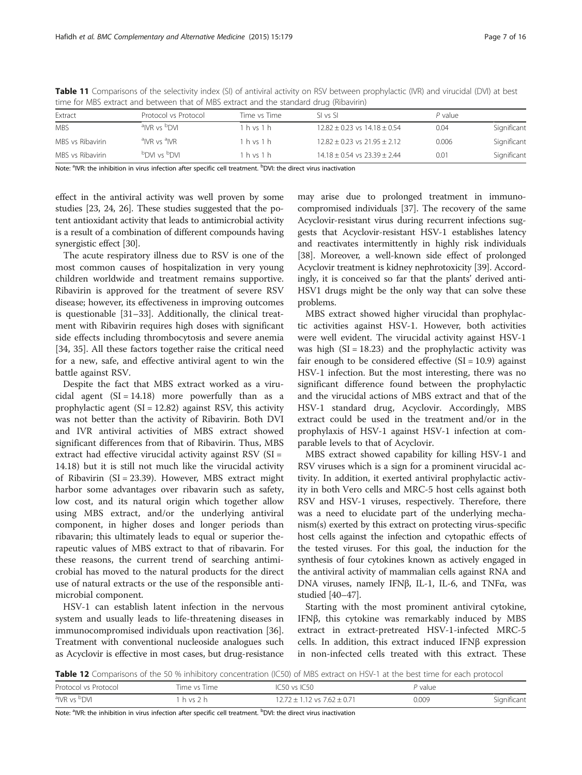|                  | thric for most catract and between that or most catact and the standard drug (moaving) |              |                                      |         |             |
|------------------|----------------------------------------------------------------------------------------|--------------|--------------------------------------|---------|-------------|
| Extract          | Protocol vs Protocol                                                                   | Time vs Time | SI vs SI                             | P value |             |
| <b>MBS</b>       | <sup>a</sup> IVR vs <sup>b</sup> DVI                                                   | $1h$ vs $1h$ | $12.82 \pm 0.23$ vs $14.18 \pm 0.54$ | 0.04    | Significant |
| MBS vs Ribavirin | <sup>a</sup> IVR vs <sup>a</sup> IVR                                                   | $1h$ vs $1h$ | $12.82 + 0.23$ vs $21.95 + 2.12$     | 0.006   | Significant |
| MBS vs Ribavirin | <b>NO</b> <sup>d</sup> 2V IVO <sup>d</sup>                                             | $1h$ vs $1h$ | $14.18 \pm 0.54$ vs $23.39 \pm 2.44$ | 0.01    | Significant |

<span id="page-6-0"></span>Table 11 Comparisons of the selectivity index (SI) of antiviral activity on RSV between prophylactic (IVR) and virucidal (DVI) at best time for MBS extract and between that of MBS extract and the standard drug (Ribavirin)

Note: <sup>a</sup>IVR: the inhibition in virus infection after specific cell treatment. <sup>b</sup>DVI: the direct virus inactivation

effect in the antiviral activity was well proven by some studies [\[23, 24, 26](#page-14-0)]. These studies suggested that the potent antioxidant activity that leads to antimicrobial activity is a result of a combination of different compounds having synergistic effect [[30](#page-14-0)].

The acute respiratory illness due to RSV is one of the most common causes of hospitalization in very young children worldwide and treatment remains supportive. Ribavirin is approved for the treatment of severe RSV disease; however, its effectiveness in improving outcomes is questionable [\[31](#page-14-0)–[33\]](#page-14-0). Additionally, the clinical treatment with Ribavirin requires high doses with significant side effects including thrombocytosis and severe anemia [[34, 35\]](#page-14-0). All these factors together raise the critical need for a new, safe, and effective antiviral agent to win the battle against RSV.

Despite the fact that MBS extract worked as a virucidal agent  $(SI = 14.18)$  more powerfully than as a prophylactic agent  $(SI = 12.82)$  against RSV, this activity was not better than the activity of Ribavirin. Both DVI and IVR antiviral activities of MBS extract showed significant differences from that of Ribavirin. Thus, MBS extract had effective virucidal activity against RSV (SI = 14.18) but it is still not much like the virucidal activity of Ribavirin (SI = 23.39). However, MBS extract might harbor some advantages over ribavarin such as safety, low cost, and its natural origin which together allow using MBS extract, and/or the underlying antiviral component, in higher doses and longer periods than ribavarin; this ultimately leads to equal or superior therapeutic values of MBS extract to that of ribavarin. For these reasons, the current trend of searching antimicrobial has moved to the natural products for the direct use of natural extracts or the use of the responsible antimicrobial component.

HSV-1 can establish latent infection in the nervous system and usually leads to life-threatening diseases in immunocompromised individuals upon reactivation [\[36](#page-14-0)]. Treatment with conventional nucleoside analogues such as Acyclovir is effective in most cases, but drug-resistance

may arise due to prolonged treatment in immunocompromised individuals [[37](#page-14-0)]. The recovery of the same Acyclovir-resistant virus during recurrent infections suggests that Acyclovir-resistant HSV-1 establishes latency and reactivates intermittently in highly risk individuals [[38](#page-14-0)]. Moreover, a well-known side effect of prolonged Acyclovir treatment is kidney nephrotoxicity [\[39](#page-14-0)]. Accordingly, it is conceived so far that the plants' derived anti-HSV1 drugs might be the only way that can solve these problems.

MBS extract showed higher virucidal than prophylactic activities against HSV-1. However, both activities were well evident. The virucidal activity against HSV-1 was high  $(SI = 18.23)$  and the prophylactic activity was fair enough to be considered effective  $(SI = 10.9)$  against HSV-1 infection. But the most interesting, there was no significant difference found between the prophylactic and the virucidal actions of MBS extract and that of the HSV-1 standard drug, Acyclovir. Accordingly, MBS extract could be used in the treatment and/or in the prophylaxis of HSV-1 against HSV-1 infection at comparable levels to that of Acyclovir.

MBS extract showed capability for killing HSV-1 and RSV viruses which is a sign for a prominent virucidal activity. In addition, it exerted antiviral prophylactic activity in both Vero cells and MRC-5 host cells against both RSV and HSV-1 viruses, respectively. Therefore, there was a need to elucidate part of the underlying mechanism(s) exerted by this extract on protecting virus-specific host cells against the infection and cytopathic effects of the tested viruses. For this goal, the induction for the synthesis of four cytokines known as actively engaged in the antiviral activity of mammalian cells against RNA and DNA viruses, namely IFNβ, IL-1, IL-6, and TNFα, was studied  $|40-47|$ .

Starting with the most prominent antiviral cytokine, IFNβ, this cytokine was remarkably induced by MBS extract in extract-pretreated HSV-1-infected MRC-5 cells. In addition, this extract induced IFNβ expression in non-infected cells treated with this extract. These

Table 12 Comparisons of the 50 % inhibitory concentration (IC50) of MBS extract on HSV-1 at the best time for each protocol

| Protocol vs Protocol                 | Time vs Time | IC50 vs IC50                        | P value |             |
|--------------------------------------|--------------|-------------------------------------|---------|-------------|
| <sup>a</sup> IVR vs <sup>b</sup> DVI | h vs Jh      | $12.72 \pm 1.12$ vs $7.62 \pm 0.71$ | 0.009   | Significant |

Note: <sup>a</sup>IVR: the inhibition in virus infection after specific cell treatment. <sup>b</sup>DVI: the direct virus inactivation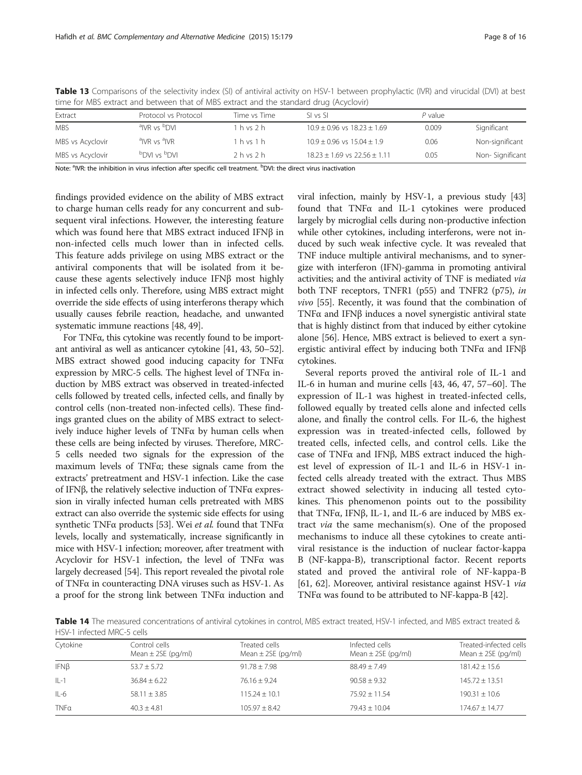| and the state and between and or most exact and the standard drug preserving |                                            |              |                                      |         |                 |  |  |
|------------------------------------------------------------------------------|--------------------------------------------|--------------|--------------------------------------|---------|-----------------|--|--|
| Extract                                                                      | Protocol vs Protocol                       | Time vs Time | SL vs SL                             | P value |                 |  |  |
| <b>MBS</b>                                                                   | <sup>a</sup> IVR vs <sup>b</sup> DVI       | 1 h vs 2 h   | $10.9 \pm 0.96$ vs $18.23 \pm 1.69$  | 0.009   | Significant     |  |  |
| MBS vs Acyclovir                                                             | <sup>a</sup> IVR vs <sup>a</sup> IVR       | $1h$ vs $1h$ | $10.9 \pm 0.96$ vs $15.04 \pm 1.9$   | 0.06    | Non-significant |  |  |
| MBS vs Acyclovir                                                             | <b>NO</b> <sup>d</sup> 2V IVO <sup>d</sup> | 2 h v s 2 h  | $18.23 \pm 1.69$ vs $22.56 \pm 1.11$ | 0.05    | Non-Significant |  |  |

<span id="page-7-0"></span>Table 13 Comparisons of the selectivity index (SI) of antiviral activity on HSV-1 between prophylactic (IVR) and virucidal (DVI) at best time for MBS extract and between that of MBS extract and the standard drug (Acyclovir)

Note: <sup>a</sup>IVR: the inhibition in virus infection after specific cell treatment. <sup>b</sup>DVI: the direct virus inactivation

findings provided evidence on the ability of MBS extract to charge human cells ready for any concurrent and subsequent viral infections. However, the interesting feature which was found here that MBS extract induced IFNβ in non-infected cells much lower than in infected cells. This feature adds privilege on using MBS extract or the antiviral components that will be isolated from it because these agents selectively induce IFNβ most highly in infected cells only. Therefore, using MBS extract might override the side effects of using interferons therapy which usually causes febrile reaction, headache, and unwanted systematic immune reactions [[48](#page-14-0), [49\]](#page-14-0).

For TNFα, this cytokine was recently found to be important antiviral as well as anticancer cytokine [\[41, 43, 50](#page-14-0)–[52](#page-14-0)]. MBS extract showed good inducing capacity for TNFα expression by MRC-5 cells. The highest level of TNFα induction by MBS extract was observed in treated-infected cells followed by treated cells, infected cells, and finally by control cells (non-treated non-infected cells). These findings granted clues on the ability of MBS extract to selectively induce higher levels of TNFα by human cells when these cells are being infected by viruses. Therefore, MRC-5 cells needed two signals for the expression of the maximum levels of TNFα; these signals came from the extracts' pretreatment and HSV-1 infection. Like the case of IFNβ, the relatively selective induction of TNFα expression in virally infected human cells pretreated with MBS extract can also override the systemic side effects for using synthetic TNF $\alpha$  products [[53](#page-14-0)]. Wei et al. found that TNF $\alpha$ levels, locally and systematically, increase significantly in mice with HSV-1 infection; moreover, after treatment with Acyclovir for HSV-1 infection, the level of TNFα was largely decreased [\[54\]](#page-14-0). This report revealed the pivotal role of TNFα in counteracting DNA viruses such as HSV-1. As a proof for the strong link between TNFα induction and viral infection, mainly by HSV-1, a previous study [[43](#page-14-0)] found that TNFα and IL-1 cytokines were produced largely by microglial cells during non-productive infection while other cytokines, including interferons, were not induced by such weak infective cycle. It was revealed that TNF induce multiple antiviral mechanisms, and to synergize with interferon (IFN)-gamma in promoting antiviral activities; and the antiviral activity of TNF is mediated via both TNF receptors, TNFR1 (p55) and TNFR2 (p75), in vivo [\[55](#page-14-0)]. Recently, it was found that the combination of TNFα and IFNβ induces a novel synergistic antiviral state that is highly distinct from that induced by either cytokine alone [\[56](#page-14-0)]. Hence, MBS extract is believed to exert a synergistic antiviral effect by inducing both TNFα and IFNβ cytokines.

Several reports proved the antiviral role of IL-1 and IL-6 in human and murine cells [\[43, 46, 47](#page-14-0), [57](#page-14-0)–[60\]](#page-14-0). The expression of IL-1 was highest in treated-infected cells, followed equally by treated cells alone and infected cells alone, and finally the control cells. For IL-6, the highest expression was in treated-infected cells, followed by treated cells, infected cells, and control cells. Like the case of TNFα and IFNβ, MBS extract induced the highest level of expression of IL-1 and IL-6 in HSV-1 infected cells already treated with the extract. Thus MBS extract showed selectivity in inducing all tested cytokines. This phenomenon points out to the possibility that TNFα, IFNβ, IL-1, and IL-6 are induced by MBS extract via the same mechanism(s). One of the proposed mechanisms to induce all these cytokines to create antiviral resistance is the induction of nuclear factor-kappa B (NF-kappa-B), transcriptional factor. Recent reports stated and proved the antiviral role of NF-kappa-B [[61](#page-14-0), [62\]](#page-14-0). Moreover, antiviral resistance against HSV-1 via TNFα was found to be attributed to NF-kappa-B [\[42\]](#page-14-0).

Table 14 The measured concentrations of antiviral cytokines in control, MBS extract treated, HSV-1 infected, and MBS extract treated & HSV-1 infected MRC-5 cells

| Cytokine    | Control cells<br>Mean $\pm$ 2SE (pg/ml) | Treated cells<br>Mean $\pm$ 2SE (pg/ml) | Infected cells<br>Mean $\pm$ 2SE (pg/ml) | Treated-infected cells<br>Mean $\pm$ 2SE (pg/ml) |
|-------------|-----------------------------------------|-----------------------------------------|------------------------------------------|--------------------------------------------------|
| $IFN\beta$  | $53.7 \pm 5.72$                         | $91.78 \pm 7.98$                        | $88.49 + 7.49$                           | $181.42 \pm 15.6$                                |
| $IL-1$      | $36.84 + 6.22$                          | $76.16 + 9.24$                          | $90.58 + 9.32$                           | $145.72 + 13.51$                                 |
| $IL-6$      | $58.11 \pm 3.85$                        | $115.24 + 10.1$                         | $75.92 + 11.54$                          | $190.31 \pm 10.6$                                |
| <b>TNFa</b> | $40.3 + 4.81$                           | $105.97 + 8.42$                         | $79.43 + 10.04$                          | $174.67 + 14.77$                                 |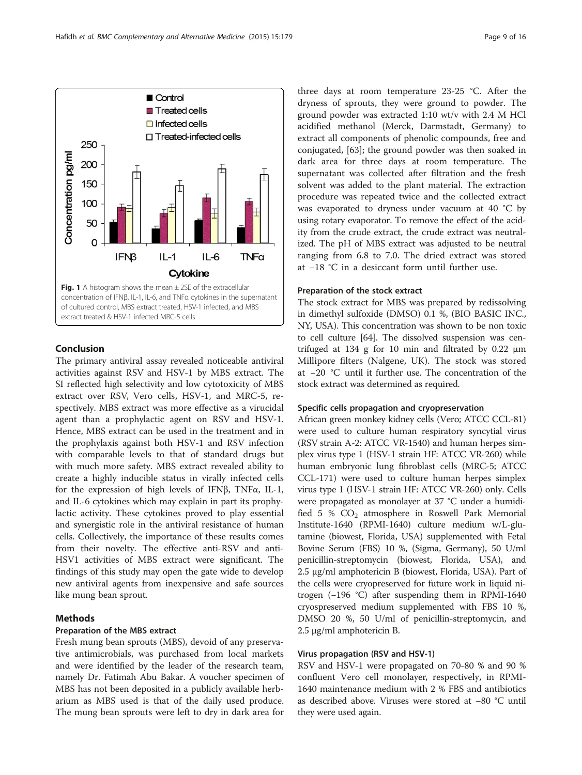## Conclusion

The primary antiviral assay revealed noticeable antiviral activities against RSV and HSV-1 by MBS extract. The SI reflected high selectivity and low cytotoxicity of MBS extract over RSV, Vero cells, HSV-1, and MRC-5, respectively. MBS extract was more effective as a virucidal agent than a prophylactic agent on RSV and HSV-1. Hence, MBS extract can be used in the treatment and in the prophylaxis against both HSV-1 and RSV infection with comparable levels to that of standard drugs but with much more safety. MBS extract revealed ability to create a highly inducible status in virally infected cells for the expression of high levels of IFNβ, TNFα, IL-1, and IL-6 cytokines which may explain in part its prophylactic activity. These cytokines proved to play essential and synergistic role in the antiviral resistance of human cells. Collectively, the importance of these results comes from their novelty. The effective anti-RSV and anti-HSV1 activities of MBS extract were significant. The findings of this study may open the gate wide to develop new antiviral agents from inexpensive and safe sources like mung bean sprout.

## Methods

## Preparation of the MBS extract

Fresh mung bean sprouts (MBS), devoid of any preservative antimicrobials, was purchased from local markets and were identified by the leader of the research team, namely Dr. Fatimah Abu Bakar. A voucher specimen of MBS has not been deposited in a publicly available herbarium as MBS used is that of the daily used produce. The mung bean sprouts were left to dry in dark area for

three days at room temperature 23-25 °C. After the dryness of sprouts, they were ground to powder. The ground powder was extracted 1:10 wt/v with 2.4 M HCl acidified methanol (Merck, Darmstadt, Germany) to extract all components of phenolic compounds, free and conjugated, [[63\]](#page-15-0); the ground powder was then soaked in dark area for three days at room temperature. The supernatant was collected after filtration and the fresh solvent was added to the plant material. The extraction procedure was repeated twice and the collected extract was evaporated to dryness under vacuum at 40 °C by using rotary evaporator. To remove the effect of the acidity from the crude extract, the crude extract was neutralized. The pH of MBS extract was adjusted to be neutral ranging from 6.8 to 7.0. The dried extract was stored at −18 °C in a desiccant form until further use.

## Preparation of the stock extract

The stock extract for MBS was prepared by redissolving in dimethyl sulfoxide (DMSO) 0.1 %, (BIO BASIC INC., NY, USA). This concentration was shown to be non toxic to cell culture [[64](#page-15-0)]. The dissolved suspension was centrifuged at 134 g for 10 min and filtrated by 0.22 μm Millipore filters (Nalgene, UK). The stock was stored at −20 °C until it further use. The concentration of the stock extract was determined as required.

## Specific cells propagation and cryopreservation

African green monkey kidney cells (Vero; ATCC CCL-81) were used to culture human respiratory syncytial virus (RSV strain A-2: ATCC VR-1540) and human herpes simplex virus type 1 (HSV-1 strain HF: ATCC VR-260) while human embryonic lung fibroblast cells (MRC-5; ATCC CCL-171) were used to culture human herpes simplex virus type 1 (HSV-1 strain HF: ATCC VR-260) only. Cells were propagated as monolayer at 37 °C under a humidified 5 %  $CO<sub>2</sub>$  atmosphere in Roswell Park Memorial Institute-1640 (RPMI-1640) culture medium w/L-glutamine (biowest, Florida, USA) supplemented with Fetal Bovine Serum (FBS) 10 %, (Sigma, Germany), 50 U/ml penicillin-streptomycin (biowest, Florida, USA), and 2.5 μg/ml amphotericin B (biowest, Florida, USA). Part of the cells were cryopreserved for future work in liquid nitrogen (−196 °C) after suspending them in RPMI-1640 cryospreserved medium supplemented with FBS 10 %, DMSO 20 %, 50 U/ml of penicillin-streptomycin, and 2.5 μg/ml amphotericin B.

## Virus propagation (RSV and HSV-1)

RSV and HSV-1 were propagated on 70-80 % and 90 % confluent Vero cell monolayer, respectively, in RPMI-1640 maintenance medium with 2 % FBS and antibiotics as described above. Viruses were stored at −80 °C until they were used again.

<span id="page-8-0"></span>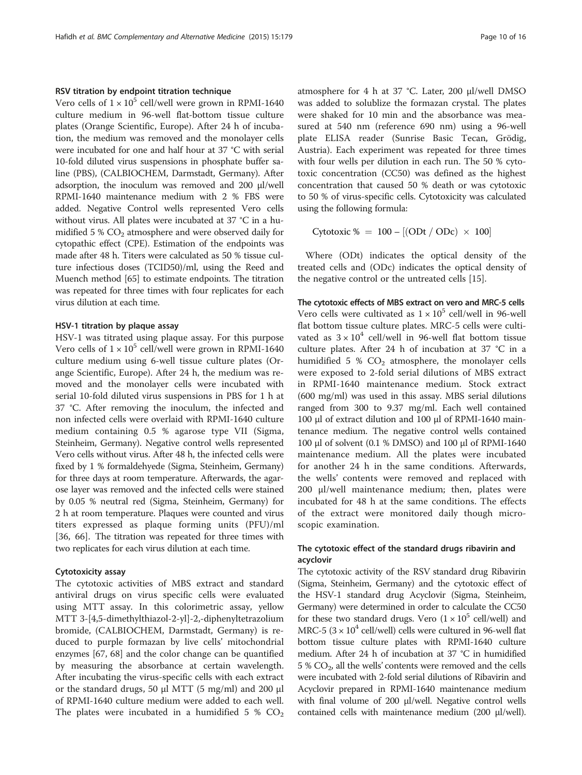#### RSV titration by endpoint titration technique

Vero cells of  $1 \times 10^5$  cell/well were grown in RPMI-1640 culture medium in 96-well flat-bottom tissue culture plates (Orange Scientific, Europe). After 24 h of incubation, the medium was removed and the monolayer cells were incubated for one and half hour at 37 °C with serial 10-fold diluted virus suspensions in phosphate buffer saline (PBS), (CALBIOCHEM, Darmstadt, Germany). After adsorption, the inoculum was removed and 200 μl/well RPMI-1640 maintenance medium with 2 % FBS were added. Negative Control wells represented Vero cells without virus. All plates were incubated at 37 °C in a humidified  $5\%$  CO<sub>2</sub> atmosphere and were observed daily for cytopathic effect (CPE). Estimation of the endpoints was made after 48 h. Titers were calculated as 50 % tissue culture infectious doses (TCID50)/ml, using the Reed and Muench method [\[65](#page-15-0)] to estimate endpoints. The titration was repeated for three times with four replicates for each virus dilution at each time.

#### HSV-1 titration by plaque assay

HSV-1 was titrated using plaque assay. For this purpose Vero cells of  $1 \times 10^5$  cell/well were grown in RPMI-1640 culture medium using 6-well tissue culture plates (Orange Scientific, Europe). After 24 h, the medium was removed and the monolayer cells were incubated with serial 10-fold diluted virus suspensions in PBS for 1 h at 37 °C. After removing the inoculum, the infected and non infected cells were overlaid with RPMI-1640 culture medium containing 0.5 % agarose type VII (Sigma, Steinheim, Germany). Negative control wells represented Vero cells without virus. After 48 h, the infected cells were fixed by 1 % formaldehyede (Sigma, Steinheim, Germany) for three days at room temperature. Afterwards, the agarose layer was removed and the infected cells were stained by 0.05 % neutral red (Sigma, Steinheim, Germany) for 2 h at room temperature. Plaques were counted and virus titers expressed as plaque forming units (PFU)/ml [[36,](#page-14-0) [66](#page-15-0)]. The titration was repeated for three times with two replicates for each virus dilution at each time.

#### Cytotoxicity assay

The cytotoxic activities of MBS extract and standard antiviral drugs on virus specific cells were evaluated using MTT assay. In this colorimetric assay, yellow MTT 3-[4,5-dimethylthiazol-2-yl]-2,-diphenyltetrazolium bromide, (CALBIOCHEM, Darmstadt, Germany) is reduced to purple formazan by live cells' mitochondrial enzymes [[67, 68\]](#page-15-0) and the color change can be quantified by measuring the absorbance at certain wavelength. After incubating the virus-specific cells with each extract or the standard drugs, 50 μl MTT (5 mg/ml) and 200 μl of RPMI-1640 culture medium were added to each well. The plates were incubated in a humidified 5 %  $CO<sub>2</sub>$ 

atmosphere for 4 h at 37 °C. Later, 200 μl/well DMSO was added to solublize the formazan crystal. The plates were shaked for 10 min and the absorbance was measured at 540 nm (reference 690 nm) using a 96-well plate ELISA reader (Sunrise Basic Tecan, Grödig, Austria). Each experiment was repeated for three times with four wells per dilution in each run. The 50 % cytotoxic concentration (CC50) was defined as the highest concentration that caused 50 % death or was cytotoxic to 50 % of virus-specific cells. Cytotoxicity was calculated using the following formula:

Cytotoxic % = 
$$
100 - [(ODt / ODc) \times 100]
$$

Where (ODt) indicates the optical density of the treated cells and (ODc) indicates the optical density of the negative control or the untreated cells [[15\]](#page-13-0).

## The cytotoxic effects of MBS extract on vero and MRC-5 cells

Vero cells were cultivated as  $1 \times 10^5$  cell/well in 96-well flat bottom tissue culture plates. MRC-5 cells were cultivated as  $3 \times 10^4$  cell/well in 96-well flat bottom tissue culture plates. After 24 h of incubation at 37 °C in a humidified 5 %  $CO<sub>2</sub>$  atmosphere, the monolayer cells were exposed to 2-fold serial dilutions of MBS extract in RPMI-1640 maintenance medium. Stock extract (600 mg/ml) was used in this assay. MBS serial dilutions ranged from 300 to 9.37 mg/ml. Each well contained 100 μl of extract dilution and 100 μl of RPMI-1640 maintenance medium. The negative control wells contained 100 μl of solvent (0.1 % DMSO) and 100 μl of RPMI-1640 maintenance medium. All the plates were incubated for another 24 h in the same conditions. Afterwards, the wells' contents were removed and replaced with 200 μl/well maintenance medium; then, plates were incubated for 48 h at the same conditions. The effects of the extract were monitored daily though microscopic examination.

## The cytotoxic effect of the standard drugs ribavirin and acyclovir

The cytotoxic activity of the RSV standard drug Ribavirin (Sigma, Steinheim, Germany) and the cytotoxic effect of the HSV-1 standard drug Acyclovir (Sigma, Steinheim, Germany) were determined in order to calculate the CC50 for these two standard drugs. Vero  $(1 \times 10^5 \text{ cell/well})$  and MRC-5 ( $3 \times 10^4$  cell/well) cells were cultured in 96-well flat bottom tissue culture plates with RPMI-1640 culture medium. After 24 h of incubation at 37 °C in humidified  $5\%$  CO<sub>2</sub>, all the wells' contents were removed and the cells were incubated with 2-fold serial dilutions of Ribavirin and Acyclovir prepared in RPMI-1640 maintenance medium with final volume of 200 μl/well. Negative control wells contained cells with maintenance medium (200 μl/well).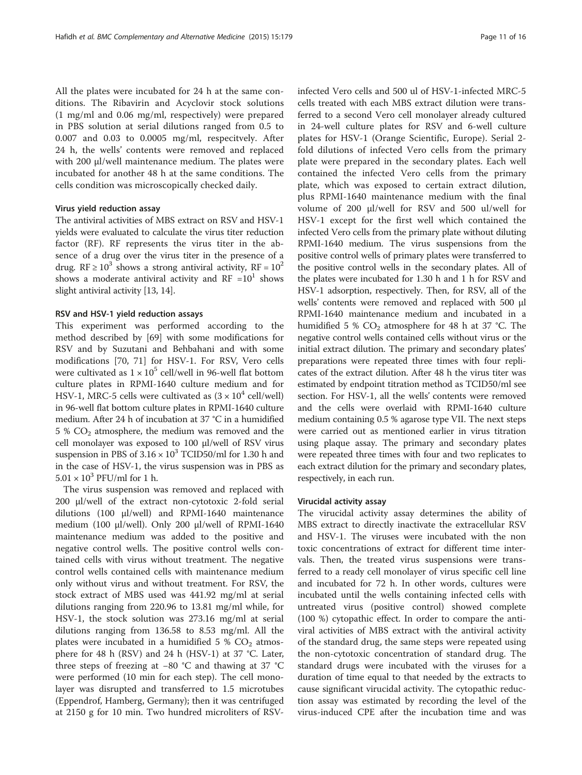All the plates were incubated for 24 h at the same conditions. The Ribavirin and Acyclovir stock solutions (1 mg/ml and 0.06 mg/ml, respectively) were prepared in PBS solution at serial dilutions ranged from 0.5 to 0.007 and 0.03 to 0.0005 mg/ml, respecitvely. After 24 h, the wells' contents were removed and replaced with 200 μl/well maintenance medium. The plates were incubated for another 48 h at the same conditions. The cells condition was microscopically checked daily.

#### Virus yield reduction assay

The antiviral activities of MBS extract on RSV and HSV-1 yields were evaluated to calculate the virus titer reduction factor (RF). RF represents the virus titer in the absence of a drug over the virus titer in the presence of a drug. RF  $\geq 10^3$  shows a strong antiviral activity, RF =  $10^2$ shows a moderate antiviral activity and  $RF = 10<sup>1</sup>$  shows slight antiviral activity [\[13, 14](#page-13-0)].

#### RSV and HSV-1 yield reduction assays

This experiment was performed according to the method described by [\[69\]](#page-15-0) with some modifications for RSV and by Suzutani and Behbahani and with some modifications [\[70, 71\]](#page-15-0) for HSV-1. For RSV, Vero cells were cultivated as  $1 \times 10^5$  cell/well in 96-well flat bottom culture plates in RPMI-1640 culture medium and for HSV-1, MRC-5 cells were cultivated as  $(3 \times 10^4 \text{ cell/well})$ in 96-well flat bottom culture plates in RPMI-1640 culture medium. After 24 h of incubation at 37 °C in a humidified 5 %  $CO<sub>2</sub>$  atmosphere, the medium was removed and the cell monolayer was exposed to 100 μl/well of RSV virus suspension in PBS of  $3.16 \times 10^3$  TCID50/ml for 1.30 h and in the case of HSV-1, the virus suspension was in PBS as  $5.01 \times 10^3$  PFU/ml for 1 h.

The virus suspension was removed and replaced with 200 μl/well of the extract non-cytotoxic 2-fold serial dilutions (100 μl/well) and RPMI-1640 maintenance medium (100 μl/well). Only 200 μl/well of RPMI-1640 maintenance medium was added to the positive and negative control wells. The positive control wells contained cells with virus without treatment. The negative control wells contained cells with maintenance medium only without virus and without treatment. For RSV, the stock extract of MBS used was 441.92 mg/ml at serial dilutions ranging from 220.96 to 13.81 mg/ml while, for HSV-1, the stock solution was 273.16 mg/ml at serial dilutions ranging from 136.58 to 8.53 mg/ml. All the plates were incubated in a humidified 5 %  $CO<sub>2</sub>$  atmosphere for 48 h (RSV) and 24 h (HSV-1) at 37 °C. Later, three steps of freezing at −80 °C and thawing at 37 °C were performed (10 min for each step). The cell monolayer was disrupted and transferred to 1.5 microtubes (Eppendrof, Hamberg, Germany); then it was centrifuged at 2150 g for 10 min. Two hundred microliters of RSV- infected Vero cells and 500 ul of HSV-1-infected MRC-5 cells treated with each MBS extract dilution were transferred to a second Vero cell monolayer already cultured in 24-well culture plates for RSV and 6-well culture plates for HSV-1 (Orange Scientific, Europe). Serial 2 fold dilutions of infected Vero cells from the primary plate were prepared in the secondary plates. Each well contained the infected Vero cells from the primary plate, which was exposed to certain extract dilution, plus RPMI-1640 maintenance medium with the final volume of 200 μl/well for RSV and 500 ul/well for HSV-1 except for the first well which contained the infected Vero cells from the primary plate without diluting RPMI-1640 medium. The virus suspensions from the positive control wells of primary plates were transferred to the positive control wells in the secondary plates. All of the plates were incubated for 1.30 h and 1 h for RSV and HSV-1 adsorption, respectively. Then, for RSV, all of the wells' contents were removed and replaced with 500 μl RPMI-1640 maintenance medium and incubated in a humidified 5 %  $CO<sub>2</sub>$  atmosphere for 48 h at 37 °C. The negative control wells contained cells without virus or the initial extract dilution. The primary and secondary plates' preparations were repeated three times with four replicates of the extract dilution. After 48 h the virus titer was estimated by endpoint titration method as TCID50/ml see section. For HSV-1, all the wells' contents were removed and the cells were overlaid with RPMI-1640 culture medium containing 0.5 % agarose type VII. The next steps were carried out as mentioned earlier in virus titration using plaque assay. The primary and secondary plates were repeated three times with four and two replicates to each extract dilution for the primary and secondary plates, respectively, in each run.

#### Virucidal activity assay

The virucidal activity assay determines the ability of MBS extract to directly inactivate the extracellular RSV and HSV-1. The viruses were incubated with the non toxic concentrations of extract for different time intervals. Then, the treated virus suspensions were transferred to a ready cell monolayer of virus specific cell line and incubated for 72 h. In other words, cultures were incubated until the wells containing infected cells with untreated virus (positive control) showed complete (100 %) cytopathic effect. In order to compare the antiviral activities of MBS extract with the antiviral activity of the standard drug, the same steps were repeated using the non-cytotoxic concentration of standard drug. The standard drugs were incubated with the viruses for a duration of time equal to that needed by the extracts to cause significant virucidal activity. The cytopathic reduction assay was estimated by recording the level of the virus-induced CPE after the incubation time and was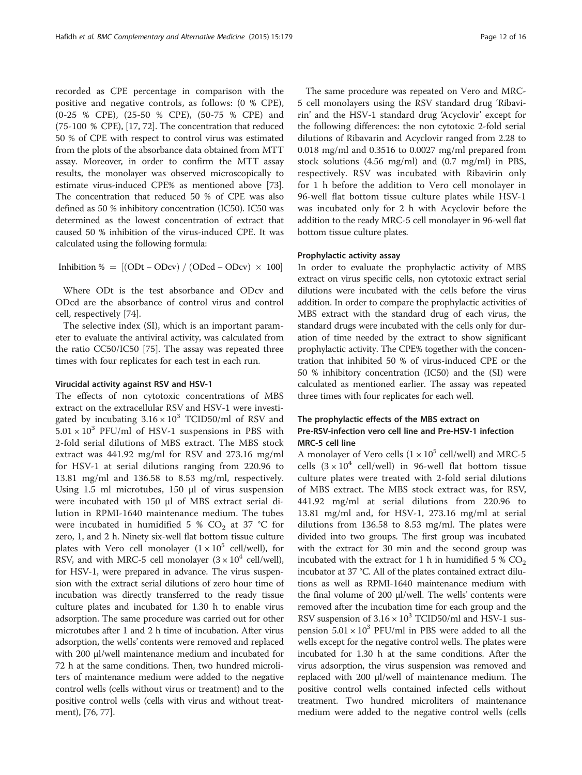recorded as CPE percentage in comparison with the positive and negative controls, as follows: (0 % CPE), (0-25 % CPE), (25-50 % CPE), (50-75 % CPE) and (75-100 % CPE), [[17](#page-14-0), [72\]](#page-15-0). The concentration that reduced 50 % of CPE with respect to control virus was estimated from the plots of the absorbance data obtained from MTT assay. Moreover, in order to confirm the MTT assay results, the monolayer was observed microscopically to estimate virus-induced CPE% as mentioned above [[73](#page-15-0)]. The concentration that reduced 50 % of CPE was also defined as 50 % inhibitory concentration (IC50). IC50 was determined as the lowest concentration of extract that caused 50 % inhibition of the virus-induced CPE. It was calculated using the following formula:

Inhibition  $\% = \left[ (\text{ODt} - \text{ODcv}) / (\text{ODcd} - \text{ODcv}) \times 100 \right]$ 

Where ODt is the test absorbance and ODcv and ODcd are the absorbance of control virus and control cell, respectively [\[74](#page-15-0)].

The selective index (SI), which is an important parameter to evaluate the antiviral activity, was calculated from the ratio CC50/IC50 [\[75\]](#page-15-0). The assay was repeated three times with four replicates for each test in each run.

#### Virucidal activity against RSV and HSV-1

The effects of non cytotoxic concentrations of MBS extract on the extracellular RSV and HSV-1 were investigated by incubating  $3.16 \times 10^3$  TCID50/ml of RSV and  $5.01 \times 10^3$  PFU/ml of HSV-1 suspensions in PBS with 2-fold serial dilutions of MBS extract. The MBS stock extract was 441.92 mg/ml for RSV and 273.16 mg/ml for HSV-1 at serial dilutions ranging from 220.96 to 13.81 mg/ml and 136.58 to 8.53 mg/ml, respectively. Using 1.5 ml microtubes, 150 μl of virus suspension were incubated with 150 μl of MBS extract serial dilution in RPMI-1640 maintenance medium. The tubes were incubated in humidified 5 %  $CO<sub>2</sub>$  at 37 °C for zero, 1, and 2 h. Ninety six-well flat bottom tissue culture plates with Vero cell monolayer  $(1 \times 10^5 \text{ cell/well})$ , for RSV, and with MRC-5 cell monolayer  $(3 \times 10^4 \text{ cell/well})$ , for HSV-1, were prepared in advance. The virus suspension with the extract serial dilutions of zero hour time of incubation was directly transferred to the ready tissue culture plates and incubated for 1.30 h to enable virus adsorption. The same procedure was carried out for other microtubes after 1 and 2 h time of incubation. After virus adsorption, the wells' contents were removed and replaced with 200 μl/well maintenance medium and incubated for 72 h at the same conditions. Then, two hundred microliters of maintenance medium were added to the negative control wells (cells without virus or treatment) and to the positive control wells (cells with virus and without treatment), [\[76](#page-15-0), [77](#page-15-0)].

The same procedure was repeated on Vero and MRC-5 cell monolayers using the RSV standard drug 'Ribavirin' and the HSV-1 standard drug 'Acyclovir' except for the following differences: the non cytotoxic 2-fold serial dilutions of Ribavarin and Acyclovir ranged from 2.28 to 0.018 mg/ml and 0.3516 to 0.0027 mg/ml prepared from stock solutions (4.56 mg/ml) and (0.7 mg/ml) in PBS, respectively. RSV was incubated with Ribavirin only for 1 h before the addition to Vero cell monolayer in 96-well flat bottom tissue culture plates while HSV-1 was incubated only for 2 h with Acyclovir before the addition to the ready MRC-5 cell monolayer in 96-well flat bottom tissue culture plates.

## Prophylactic activity assay

In order to evaluate the prophylactic activity of MBS extract on virus specific cells, non cytotoxic extract serial dilutions were incubated with the cells before the virus addition. In order to compare the prophylactic activities of MBS extract with the standard drug of each virus, the standard drugs were incubated with the cells only for duration of time needed by the extract to show significant prophylactic activity. The CPE% together with the concentration that inhibited 50 % of virus-induced CPE or the 50 % inhibitory concentration (IC50) and the (SI) were calculated as mentioned earlier. The assay was repeated three times with four replicates for each well.

## The prophylactic effects of the MBS extract on Pre-RSV-infection vero cell line and Pre-HSV-1 infection MRC-5 cell line

A monolayer of Vero cells  $(1 \times 10^5 \text{ cell/well})$  and MRC-5 cells  $(3 \times 10^4 \text{ cell/well})$  in 96-well flat bottom tissue culture plates were treated with 2-fold serial dilutions of MBS extract. The MBS stock extract was, for RSV, 441.92 mg/ml at serial dilutions from 220.96 to 13.81 mg/ml and, for HSV-1, 273.16 mg/ml at serial dilutions from 136.58 to 8.53 mg/ml. The plates were divided into two groups. The first group was incubated with the extract for 30 min and the second group was incubated with the extract for 1 h in humidified 5 %  $CO<sub>2</sub>$ incubator at 37 °C. All of the plates contained extract dilutions as well as RPMI-1640 maintenance medium with the final volume of 200 μl/well. The wells' contents were removed after the incubation time for each group and the RSV suspension of  $3.16 \times 10^3$  TCID50/ml and HSV-1 suspension  $5.01 \times 10^3$  PFU/ml in PBS were added to all the wells except for the negative control wells. The plates were incubated for 1.30 h at the same conditions. After the virus adsorption, the virus suspension was removed and replaced with 200 μl/well of maintenance medium. The positive control wells contained infected cells without treatment. Two hundred microliters of maintenance medium were added to the negative control wells (cells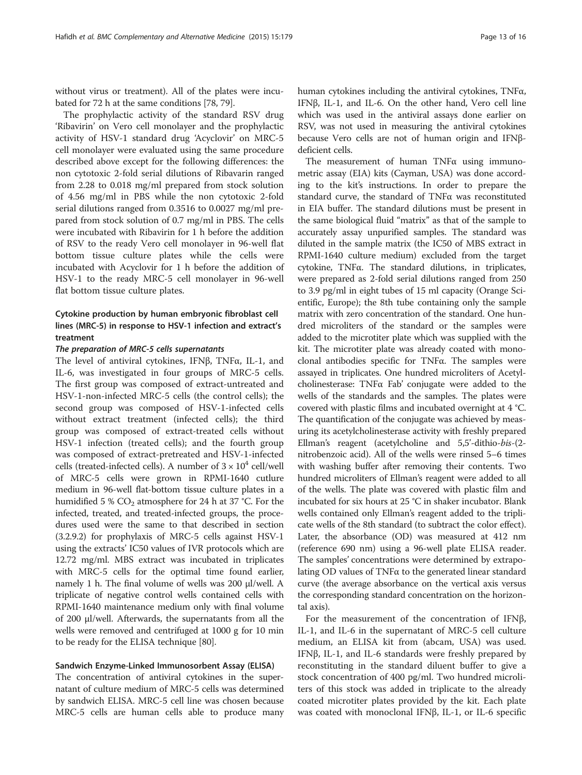without virus or treatment). All of the plates were incubated for 72 h at the same conditions [\[78, 79](#page-15-0)].

The prophylactic activity of the standard RSV drug 'Ribavirin' on Vero cell monolayer and the prophylactic activity of HSV-1 standard drug 'Acyclovir' on MRC-5 cell monolayer were evaluated using the same procedure described above except for the following differences: the non cytotoxic 2-fold serial dilutions of Ribavarin ranged from 2.28 to 0.018 mg/ml prepared from stock solution of 4.56 mg/ml in PBS while the non cytotoxic 2-fold serial dilutions ranged from 0.3516 to 0.0027 mg/ml prepared from stock solution of 0.7 mg/ml in PBS. The cells were incubated with Ribavirin for 1 h before the addition of RSV to the ready Vero cell monolayer in 96-well flat bottom tissue culture plates while the cells were incubated with Acyclovir for 1 h before the addition of HSV-1 to the ready MRC-5 cell monolayer in 96-well flat bottom tissue culture plates.

## Cytokine production by human embryonic fibroblast cell lines (MRC-5) in response to HSV-1 infection and extract's treatment

#### The preparation of MRC-5 cells supernatants

The level of antiviral cytokines, IFNβ, TNFα, IL-1, and IL-6, was investigated in four groups of MRC-5 cells. The first group was composed of extract-untreated and HSV-1-non-infected MRC-5 cells (the control cells); the second group was composed of HSV-1-infected cells without extract treatment (infected cells); the third group was composed of extract-treated cells without HSV-1 infection (treated cells); and the fourth group was composed of extract-pretreated and HSV-1-infected cells (treated-infected cells). A number of  $3 \times 10^4$  cell/well of MRC-5 cells were grown in RPMI-1640 cutlure medium in 96-well flat-bottom tissue culture plates in a humidified 5 %  $CO<sub>2</sub>$  atmosphere for 24 h at 37 °C. For the infected, treated, and treated-infected groups, the procedures used were the same to that described in section (3.2.9.2) for prophylaxis of MRC-5 cells against HSV-1 using the extracts' IC50 values of IVR protocols which are 12.72 mg/ml. MBS extract was incubated in triplicates with MRC-5 cells for the optimal time found earlier, namely 1 h. The final volume of wells was 200 μl/well. A triplicate of negative control wells contained cells with RPMI-1640 maintenance medium only with final volume of 200 μl/well. Afterwards, the supernatants from all the wells were removed and centrifuged at 1000 g for 10 min to be ready for the ELISA technique [[80](#page-15-0)].

#### Sandwich Enzyme-Linked Immunosorbent Assay (ELISA)

The concentration of antiviral cytokines in the supernatant of culture medium of MRC-5 cells was determined by sandwich ELISA. MRC-5 cell line was chosen because MRC-5 cells are human cells able to produce many human cytokines including the antiviral cytokines, TNFα, IFNβ, IL-1, and IL-6. On the other hand, Vero cell line which was used in the antiviral assays done earlier on RSV, was not used in measuring the antiviral cytokines because Vero cells are not of human origin and IFNβdeficient cells.

The measurement of human TNFα using immunometric assay (EIA) kits (Cayman, USA) was done according to the kit's instructions. In order to prepare the standard curve, the standard of TNFα was reconstituted in EIA buffer. The standard dilutions must be present in the same biological fluid "matrix" as that of the sample to accurately assay unpurified samples. The standard was diluted in the sample matrix (the IC50 of MBS extract in RPMI-1640 culture medium) excluded from the target cytokine, TNFα. The standard dilutions, in triplicates, were prepared as 2-fold serial dilutions ranged from 250 to 3.9 pg/ml in eight tubes of 15 ml capacity (Orange Scientific, Europe); the 8th tube containing only the sample matrix with zero concentration of the standard. One hundred microliters of the standard or the samples were added to the microtiter plate which was supplied with the kit. The microtiter plate was already coated with monoclonal antibodies specific for TNFα. The samples were assayed in triplicates. One hundred microliters of Acetylcholinesterase: TNFα Fab' conjugate were added to the wells of the standards and the samples. The plates were covered with plastic films and incubated overnight at 4 °C. The quantification of the conjugate was achieved by measuring its acetylcholinesterase activity with freshly prepared Ellman's reagent (acetylcholine and 5,5'-dithio-bis-(2 nitrobenzoic acid). All of the wells were rinsed 5–6 times with washing buffer after removing their contents. Two hundred microliters of Ellman's reagent were added to all of the wells. The plate was covered with plastic film and incubated for six hours at 25 °C in shaker incubator. Blank wells contained only Ellman's reagent added to the triplicate wells of the 8th standard (to subtract the color effect). Later, the absorbance (OD) was measured at 412 nm (reference 690 nm) using a 96-well plate ELISA reader. The samples' concentrations were determined by extrapolating OD values of TNFα to the generated linear standard curve (the average absorbance on the vertical axis versus the corresponding standard concentration on the horizontal axis).

For the measurement of the concentration of IFNβ, IL-1, and IL-6 in the supernatant of MRC-5 cell culture medium, an ELISA kit from (abcam, USA) was used. IFNβ, IL-1, and IL-6 standards were freshly prepared by reconstituting in the standard diluent buffer to give a stock concentration of 400 pg/ml. Two hundred microliters of this stock was added in triplicate to the already coated microtiter plates provided by the kit. Each plate was coated with monoclonal IFNβ, IL-1, or IL-6 specific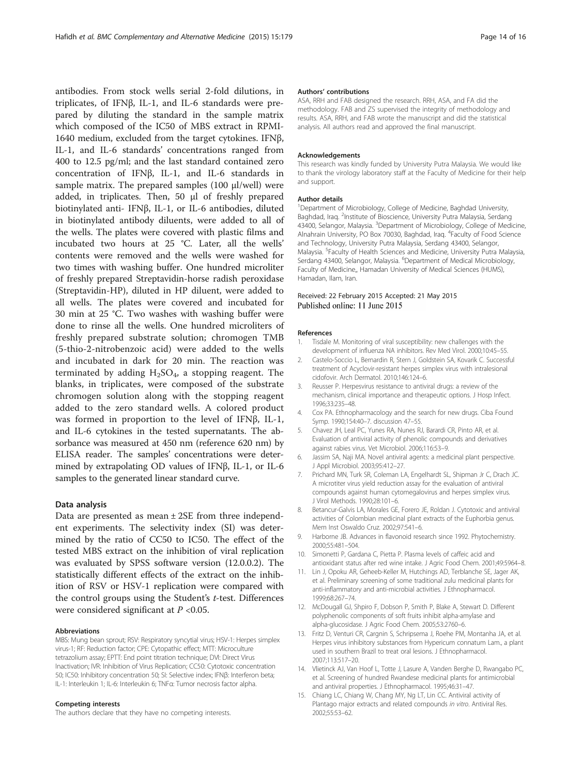<span id="page-13-0"></span>antibodies. From stock wells serial 2-fold dilutions, in triplicates, of IFNβ, IL-1, and IL-6 standards were prepared by diluting the standard in the sample matrix which composed of the IC50 of MBS extract in RPMI-1640 medium, excluded from the target cytokines. IFNβ, IL-1, and IL-6 standards' concentrations ranged from 400 to 12.5 pg/ml; and the last standard contained zero concentration of IFNβ, IL-1, and IL-6 standards in sample matrix. The prepared samples (100 μl/well) were added, in triplicates. Then, 50 μl of freshly prepared biotinylated anti- IFNβ, IL-1, or IL-6 antibodies, diluted in biotinylated antibody diluents, were added to all of the wells. The plates were covered with plastic films and incubated two hours at 25 °C. Later, all the wells' contents were removed and the wells were washed for two times with washing buffer. One hundred microliter of freshly prepared Streptavidin-horse radish peroxidase (Streptavidin-HP), diluted in HP diluent, were added to all wells. The plates were covered and incubated for 30 min at 25 °C. Two washes with washing buffer were done to rinse all the wells. One hundred microliters of freshly prepared substrate solution; chromogen TMB (5-thio-2-nitrobenzoic acid) were added to the wells and incubated in dark for 20 min. The reaction was terminated by adding  $H_2SO_4$ , a stopping reagent. The blanks, in triplicates, were composed of the substrate chromogen solution along with the stopping reagent added to the zero standard wells. A colored product was formed in proportion to the level of IFNβ, IL-1, and IL-6 cytokines in the tested supernatants. The absorbance was measured at 450 nm (reference 620 nm) by ELISA reader. The samples' concentrations were determined by extrapolating OD values of IFNβ, IL-1, or IL-6 samples to the generated linear standard curve.

## Data analysis

Data are presented as mean ± 2SE from three independent experiments. The selectivity index (SI) was determined by the ratio of CC50 to IC50. The effect of the tested MBS extract on the inhibition of viral replication was evaluated by SPSS software version (12.0.0.2). The statistically different effects of the extract on the inhibition of RSV or HSV-1 replication were compared with the control groups using the Student's t-test. Differences were considered significant at  $P < 0.05$ .

#### Abbreviations

MBS: Mung bean sprout; RSV: Respiratory syncytial virus; HSV-1: Herpes simplex virus-1; RF: Reduction factor; CPE: Cytopathic effect; MTT: Microculture tetrazolium assay; EPTT: End point titration technique; DVI: Direct Virus Inactivation; IVR: Inhibition of Virus Replication; CC50: Cytotoxic concentration 50; IC50: Inhibitory concentration 50; SI: Selective index; IFNβ: Interferon beta; IL-1: Interleukin 1; IL-6: Interleukin 6; TNFα: Tumor necrosis factor alpha.

#### Competing interests

The authors declare that they have no competing interests.

#### Authors' contributions

ASA, RRH and FAB designed the research. RRH, ASA, and FA did the methodology. FAB and ZS supervised the integrity of methodology and results. ASA, RRH, and FAB wrote the manuscript and did the statistical analysis. All authors read and approved the final manuscript.

#### Acknowledgements

This research was kindly funded by University Putra Malaysia. We would like to thank the virology laboratory staff at the Faculty of Medicine for their help and support.

#### Author details

<sup>1</sup>Department of Microbiology, College of Medicine, Baghdad University, Baghdad, Iraq. <sup>2</sup>Institute of Bioscience, University Putra Malaysia, Serdang 43400, Selangor, Malaysia. <sup>3</sup>Department of Microbiology, College of Medicine, Alnahrain University, PO Box 70030, Baghdad, Iraq. <sup>4</sup>Faculty of Food Science and Technology, University Putra Malaysia, Serdang 43400, Selangor, Malaysia. <sup>5</sup> Faculty of Health Sciences and Medicine, University Putra Malaysia, Serdang 43400, Selangor, Malaysia. <sup>6</sup>Department of Medical Microbiology Faculty of Medicine,, Hamadan University of Medical Sciences (HUMS), Hamadan, Ilam, Iran.

#### Received: 22 February 2015 Accepted: 21 May 2015 Published online: 11 June 2015

#### References

- 1. Tisdale M. Monitoring of viral susceptibility: new challenges with the development of influenza NA inhibitors. Rev Med Virol. 2000;10:45–55.
- 2. Castelo-Soccio L, Bernardin R, Stern J, Goldstein SA, Kovarik C. Successful treatment of Acyclovir-resistant herpes simplex virus with intralesional cidofovir. Arch Dermatol. 2010;146:124–6.
- 3. Reusser P. Herpesvirus resistance to antiviral drugs: a review of the mechanism, clinical importance and therapeutic options. J Hosp Infect. 1996;33:235–48.
- 4. Cox PA. Ethnopharmacology and the search for new drugs. Ciba Found Symp. 1990;154:40–7. discussion 47–55.
- 5. Chavez JH, Leal PC, Yunes RA, Nunes RJ, Barardi CR, Pinto AR, et al. Evaluation of antiviral activity of phenolic compounds and derivatives against rabies virus. Vet Microbiol. 2006;116:53–9.
- 6. Jassim SA, Naji MA. Novel antiviral agents: a medicinal plant perspective. J Appl Microbiol. 2003;95:412–27.
- 7. Prichard MN, Turk SR, Coleman LA, Engelhardt SL, Shipman Jr C, Drach JC. A microtiter virus yield reduction assay for the evaluation of antiviral compounds against human cytomegalovirus and herpes simplex virus. J Virol Methods. 1990;28:101–6.
- 8. Betancur-Galvis LA, Morales GE, Forero JE, Roldan J. Cytotoxic and antiviral activities of Colombian medicinal plant extracts of the Euphorbia genus. Mem Inst Oswaldo Cruz. 2002;97:541–6.
- 9. Harborne JB. Advances in flavonoid research since 1992. Phytochemistry. 2000;55:481–504.
- 10. Simonetti P, Gardana C, Pietta P. Plasma levels of caffeic acid and antioxidant status after red wine intake. J Agric Food Chem. 2001;49:5964–8.
- 11. Lin J, Opoku AR, Geheeb-Keller M, Hutchings AD, Terblanche SE, Jager AK, et al. Preliminary screening of some traditional zulu medicinal plants for anti-inflammatory and anti-microbial activities. J Ethnopharmacol. 1999;68:267–74.
- 12. McDougall GJ, Shpiro F, Dobson P, Smith P, Blake A, Stewart D. Different polyphenolic components of soft fruits inhibit alpha-amylase and alpha-glucosidase. J Agric Food Chem. 2005;53:2760–6.
- 13. Fritz D, Venturi CR, Cargnin S, Schripsema J, Roehe PM, Montanha JA, et al. Herpes virus inhibitory substances from Hypericum connatum Lam., a plant used in southern Brazil to treat oral lesions. J Ethnopharmacol. 2007;113:517–20.
- 14. Vlietinck AJ, Van Hoof L, Totte J, Lasure A, Vanden Berghe D, Rwangabo PC, et al. Screening of hundred Rwandese medicinal plants for antimicrobial and antiviral properties. J Ethnopharmacol. 1995;46:31–47.
- 15. Chiang LC, Chiang W, Chang MY, Ng LT, Lin CC. Antiviral activity of Plantago major extracts and related compounds in vitro. Antiviral Res. 2002;55:53–62.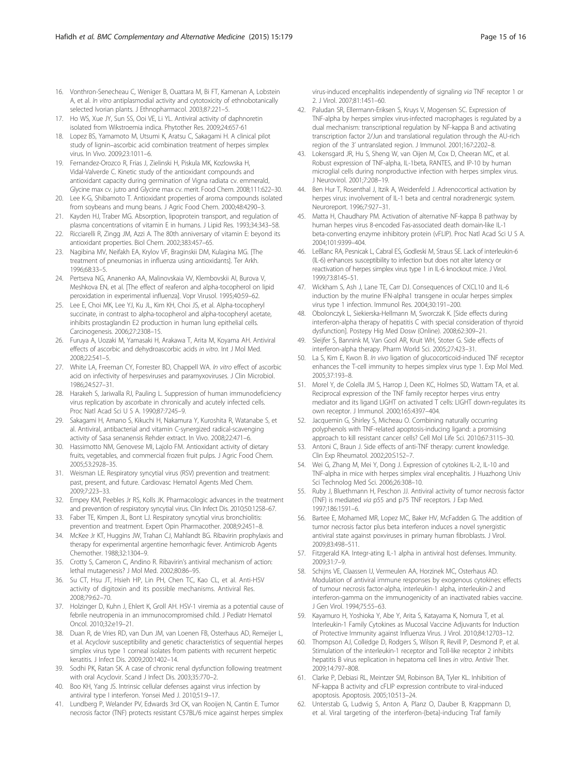- <span id="page-14-0"></span>17. Ho WS, Xue JY, Sun SS, Ooi VE, Li YL. Antiviral activity of daphnoretin isolated from Wikstroemia indica. Phytother Res. 2009;24:657-61
- 18. Lopez BS, Yamamoto M, Utsumi K, Aratsu C, Sakagami H. A clinical pilot study of lignin–ascorbic acid combination treatment of herpes simplex virus. In Vivo. 2009;23:1011–6.
- 19. Fernandez-Orozco R, Frias J, Zielinski H, Piskula MK, Kozlowska H, Vidal-Valverde C. Kinetic study of the antioxidant compounds and antioxidant capacity during germination of Vigna radiata cv. emmerald, Glycine max cv. jutro and Glycine max cv. merit. Food Chem. 2008;111:622–30.
- 20. Lee K-G, Shibamoto T. Antioxidant properties of aroma compounds isolated from soybeans and mung beans. J Agric Food Chem. 2000;48:4290–3.
- 21. Kayden HJ, Traber MG. Absorption, lipoprotein transport, and regulation of plasma concentrations of vitamin E in humans. J Lipid Res. 1993;34:343–58.
- 22. Ricciarelli R, Zingg JM, Azzi A. The 80th anniversary of vitamin E: beyond its antioxidant properties. Biol Chem. 2002;383:457–65.
- 23. Nagibina MV, Neifakh EA, Krylov VF, Braginskii DM, Kulagina MG. [The treatment of pneumonias in influenza using antioxidants]. Ter Arkh. 1996;68:33–5.
- 24. Pertseva NG, Ananenko AA, Malinovskaia VV, Klembovskii AI, Burova V, Meshkova EN, et al. [The effect of reaferon and alpha-tocopherol on lipid peroxidation in experimental influenza]. Vopr Virusol. 1995;40:59–62.
- 25. Lee E, Choi MK, Lee YJ, Ku JL, Kim KH, Choi JS, et al. Alpha-tocopheryl succinate, in contrast to alpha-tocopherol and alpha-tocopheryl acetate, inhibits prostaglandin E2 production in human lung epithelial cells. Carcinogenesis. 2006;27:2308–15.
- 26. Furuya A, Uozaki M, Yamasaki H, Arakawa T, Arita M, Koyama AH. Antiviral effects of ascorbic and dehydroascorbic acids in vitro. Int J Mol Med. 2008;22:541–5.
- 27. White LA, Freeman CY, Forrester BD, Chappell WA. In vitro effect of ascorbic acid on infectivity of herpesviruses and paramyxoviruses. J Clin Microbiol. 1986;24:527–31.
- 28. Harakeh S, Jariwalla RJ, Pauling L. Suppression of human immunodeficiency virus replication by ascorbate in chronically and acutely infected cells. Proc Natl Acad Sci U S A. 1990;87:7245–9.
- 29. Sakagami H, Amano S, Kikuchi H, Nakamura Y, Kuroshita R, Watanabe S, et al. Antiviral, antibacterial and vitamin C-synergized radical-scavenging activity of Sasa senanensis Rehder extract. In Vivo. 2008;22:471–6.
- 30. Hassimotto NM, Genovese MI, Lajolo FM. Antioxidant activity of dietary fruits, vegetables, and commercial frozen fruit pulps. J Agric Food Chem. 2005;53:2928–35.
- 31. Weisman LE. Respiratory syncytial virus (RSV) prevention and treatment: past, present, and future. Cardiovasc Hematol Agents Med Chem. 2009;7:223–33.
- 32. Empey KM, Peebles Jr RS, Kolls JK. Pharmacologic advances in the treatment and prevention of respiratory syncytial virus. Clin Infect Dis. 2010;50:1258–67.
- 33. Faber TE, Kimpen JL, Bont LJ. Respiratory syncytial virus bronchiolitis: prevention and treatment. Expert Opin Pharmacother. 2008;9:2451–8.
- 34. McKee Jr KT, Huggins JW, Trahan CJ, Mahlandt BG. Ribavirin prophylaxis and therapy for experimental argentine hemorrhagic fever. Antimicrob Agents Chemother. 1988;32:1304–9.
- 35. Crotty S, Cameron C, Andino R. Ribavirin's antiviral mechanism of action: lethal mutagenesis? J Mol Med. 2002;80:86–95.
- 36. Su CT, Hsu JT, Hsieh HP, Lin PH, Chen TC, Kao CL, et al. Anti-HSV activity of digitoxin and its possible mechanisms. Antiviral Res. 2008;79:62–70.
- 37. Holzinger D, Kuhn J, Ehlert K, Groll AH. HSV-1 viremia as a potential cause of febrile neutropenia in an immunocompromised child. J Pediatr Hematol Oncol. 2010;32:e19–21.
- 38. Duan R, de Vries RD, van Dun JM, van Loenen FB, Osterhaus AD, Remeijer L, et al. Acyclovir susceptibility and genetic characteristics of sequential herpes simplex virus type 1 corneal isolates from patients with recurrent herpetic keratitis. J Infect Dis. 2009;200:1402–14.
- 39. Sodhi PK, Ratan SK. A case of chronic renal dysfunction following treatment with oral Acyclovir. Scand J Infect Dis. 2003;35:770–2.
- 40. Boo KH, Yang JS. Intrinsic cellular defenses against virus infection by antiviral type I interferon. Yonsei Med J. 2010;51:9–17.
- 41. Lundberg P, Welander PV, Edwards 3rd CK, van Rooijen N, Cantin E. Tumor necrosis factor (TNF) protects resistant C57BL/6 mice against herpes simplex

virus-induced encephalitis independently of signaling via TNF receptor 1 or 2. J Virol. 2007;81:1451–60.

- 42. Paludan SR, Ellermann-Eriksen S, Kruys V, Mogensen SC. Expression of TNF-alpha by herpes simplex virus-infected macrophages is regulated by a dual mechanism: transcriptional regulation by NF-kappa B and activating transcription factor 2/Jun and translational regulation through the AU-rich region of the 3' untranslated region. J Immunol. 2001;167:2202–8.
- 43. Lokensgard JR, Hu S, Sheng W, van Oijen M, Cox D, Cheeran MC, et al. Robust expression of TNF-alpha, IL-1beta, RANTES, and IP-10 by human microglial cells during nonproductive infection with herpes simplex virus. J Neurovirol. 2001;7:208–19.
- 44. Ben Hur T, Rosenthal J, Itzik A, Weidenfeld J. Adrenocortical activation by herpes virus: involvement of IL-1 beta and central noradrenergic system. Neuroreport. 1996;7:927–31.
- 45. Matta H, Chaudhary PM. Activation of alternative NF-kappa B pathway by human herpes virus 8-encoded Fas-associated death domain-like IL-1 beta-converting enzyme inhibitory protein (vFLIP). Proc Natl Acad Sci U S A. 2004;101:9399–404.
- 46. LeBlanc RA, Pesnicak L, Cabral ES, Godleski M, Straus SE. Lack of interleukin-6 (IL-6) enhances susceptibility to infection but does not alter latency or reactivation of herpes simplex virus type 1 in IL-6 knockout mice. J Virol. 1999;73:8145–51.
- 47. Wickham S, Ash J, Lane TE, Carr DJ. Consequences of CXCL10 and IL-6 induction by the murine IFN-alpha1 transgene in ocular herpes simplex virus type 1 infection. Immunol Res. 2004;30:191–200.
- 48. Obolonczyk L, Siekierska-Hellmann M, Sworczak K. [Side effects during interferon-alpha therapy of hepatitis C with special consideration of thyroid dysfunction]. Postepy Hig Med Dosw (Online). 2008;62:309–21.
- 49. Sleijfer S, Bannink M, Van Gool AR, Kruit WH, Stoter G. Side effects of interferon-alpha therapy. Pharm World Sci. 2005;27:423–31.
- 50. La S, Kim E, Kwon B. In vivo ligation of glucocorticoid-induced TNF receptor enhances the T-cell immunity to herpes simplex virus type 1. Exp Mol Med. 2005;37:193–8.
- 51. Morel Y, de Colella JM S, Harrop J, Deen KC, Holmes SD, Wattam TA, et al. Reciprocal expression of the TNF family receptor herpes virus entry mediator and its ligand LIGHT on activated T cells: LIGHT down-regulates its own receptor. J Immunol. 2000;165:4397–404.
- 52. Jacquemin G, Shirley S, Micheau O. Combining naturally occurring polyphenols with TNF-related apoptosis-inducing ligand: a promising approach to kill resistant cancer cells? Cell Mol Life Sci. 2010;67:3115–30.
- 53. Antoni C, Braun J. Side effects of anti-TNF therapy: current knowledge. Clin Exp Rheumatol. 2002;20:S152–7.
- 54. Wei G, Zhang M, Mei Y, Dong J. Expression of cytokines IL-2, IL-10 and TNF-alpha in mice with herpes simplex viral encephalitis. J Huazhong Univ Sci Technolog Med Sci. 2006;26:308–10.
- 55. Ruby J, Bluethmann H, Peschon JJ. Antiviral activity of tumor necrosis factor (TNF) is mediated via p55 and p75 TNF receptors. J Exp Med. 1997;186:1591–6.
- 56. Bartee E, Mohamed MR, Lopez MC, Baker HV, McFadden G. The addition of tumor necrosis factor plus beta interferon induces a novel synergistic antiviral state against poxviruses in primary human fibroblasts. J Virol. 2009;83:498–511.
- 57. Fitzgerald KA. Integr-ating IL-1 alpha in antiviral host defenses. Immunity. 2009;31:7–9.
- 58. Schijns VE, Claassen IJ, Vermeulen AA, Horzinek MC, Osterhaus AD. Modulation of antiviral immune responses by exogenous cytokines: effects of tumour necrosis factor-alpha, interleukin-1 alpha, interleukin-2 and interferon-gamma on the immunogenicity of an inactivated rabies vaccine. J Gen Virol. 1994;75:55–63.
- 59. Kayamuro H, Yoshioka Y, Abe Y, Arita S, Katayama K, Nomura T, et al. Interleukin-1 Family Cytokines as Mucosal Vaccine Adjuvants for Induction of Protective Immunity against Influenza Virus. J Virol. 2010;84:12703–12.
- 60. Thompson AJ, Colledge D, Rodgers S, Wilson R, Revill P, Desmond P, et al. Stimulation of the interleukin-1 receptor and Toll-like receptor 2 inhibits hepatitis B virus replication in hepatoma cell lines in vitro. Antivir Ther. 2009;14:797–808.
- 61. Clarke P, Debiasi RL, Meintzer SM, Robinson BA, Tyler KL. Inhibition of NF-kappa B activity and cFLIP expression contribute to viral-induced apoptosis. Apoptosis. 2005;10:513–24.
- 62. Unterstab G, Ludwig S, Anton A, Planz O, Dauber B, Krappmann D, et al. Viral targeting of the interferon-{beta}-inducing Traf family